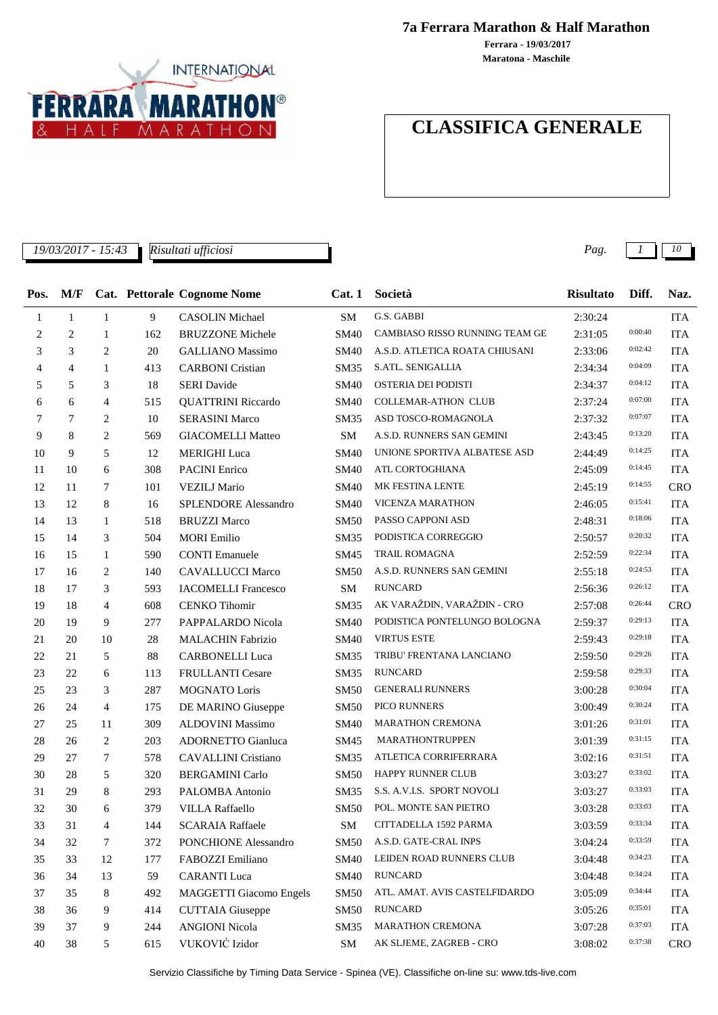

**7a Ferrara Marathon & Half Marathon**

**Maratona - Maschile Ferrara - 19/03/2017**

# **CLASSIFICA GENERALE**

*19/03/2017 - 15:43 Pag. 1 10*

*Risultati ufficiosi*

| Pos. | M/F            |                |     | <b>Cat. Pettorale Cognome Nome</b> | Cat.1       | Società                        | <b>Risultato</b> | Diff.   | Naz.       |
|------|----------------|----------------|-----|------------------------------------|-------------|--------------------------------|------------------|---------|------------|
| 1    | $\mathbf{1}$   | $\mathbf{1}$   | 9   | <b>CASOLIN</b> Michael             | SM          | G.S. GABBI                     | 2:30:24          |         | <b>ITA</b> |
| 2    | $\overline{c}$ | $\mathbf{1}$   | 162 | <b>BRUZZONE Michele</b>            | <b>SM40</b> | CAMBIASO RISSO RUNNING TEAM GE | 2:31:05          | 0:00:40 | <b>ITA</b> |
| 3    | 3              | 2              | 20  | <b>GALLIANO</b> Massimo            | SM40        | A.S.D. ATLETICA ROATA CHIUSANI | 2:33:06          | 0:02:42 | <b>ITA</b> |
| 4    | 4              | -1             | 413 | <b>CARBONI</b> Cristian            | SM35        | S.ATL. SENIGALLIA              | 2:34:34          | 0:04:09 | <b>ITA</b> |
| 5    | 5              | 3              | 18  | <b>SERI</b> Davide                 | <b>SM40</b> | OSTERIA DEI PODISTI            | 2:34:37          | 0:04:12 | <b>ITA</b> |
| 6    | 6              | 4              | 515 | <b>QUATTRINI Riccardo</b>          | SM40        | <b>COLLEMAR-ATHON CLUB</b>     | 2:37:24          | 0:07:00 | <b>ITA</b> |
| 7    | 7              | $\overline{2}$ | 10  | <b>SERASINI Marco</b>              | SM35        | ASD TOSCO-ROMAGNOLA            | 2:37:32          | 0:07:07 | <b>ITA</b> |
| 9    | 8              | $\overline{2}$ | 569 | <b>GIACOMELLI Matteo</b>           | SM          | A.S.D. RUNNERS SAN GEMINI      | 2:43:45          | 0:13:20 | <b>ITA</b> |
| 10   | 9              | 5              | 12  | <b>MERIGHI</b> Luca                | SM40        | UNIONE SPORTIVA ALBATESE ASD   | 2:44:49          | 0:14:25 | <b>ITA</b> |
| 11   | 10             | 6              | 308 | <b>PACINI</b> Enrico               | <b>SM40</b> | ATL CORTOGHIANA                | 2:45:09          | 0:14:45 | <b>ITA</b> |
| 12   | 11             | 7              | 101 | <b>VEZILJ</b> Mario                | <b>SM40</b> | MK FESTINA LENTE               | 2:45:19          | 0:14:55 | <b>CRO</b> |
| 13   | 12             | 8              | 16  | SPLENDORE Alessandro               | <b>SM40</b> | <b>VICENZA MARATHON</b>        | 2:46:05          | 0:15:41 | <b>ITA</b> |
| 14   | 13             | 1              | 518 | <b>BRUZZI Marco</b>                | <b>SM50</b> | PASSO CAPPONI ASD              | 2:48:31          | 0:18:06 | <b>ITA</b> |
| 15   | 14             | 3              | 504 | <b>MORI</b> Emilio                 | SM35        | PODISTICA CORREGGIO            | 2:50:57          | 0:20:32 | <b>ITA</b> |
| 16   | 15             | 1              | 590 | <b>CONTI</b> Emanuele              | SM45        | <b>TRAIL ROMAGNA</b>           | 2:52:59          | 0:22:34 | <b>ITA</b> |
| 17   | 16             | 2              | 140 | <b>CAVALLUCCI Marco</b>            | <b>SM50</b> | A.S.D. RUNNERS SAN GEMINI      | 2:55:18          | 0:24:53 | <b>ITA</b> |
| 18   | 17             | 3              | 593 | <b>IACOMELLI Francesco</b>         | <b>SM</b>   | <b>RUNCARD</b>                 | 2:56:36          | 0:26:12 | <b>ITA</b> |
| 19   | 18             | 4              | 608 | <b>CENKO Tihomir</b>               | SM35        | AK VARAŽDIN, VARAŽDIN - CRO    | 2:57:08          | 0:26:44 | <b>CRO</b> |
| 20   | 19             | 9              | 277 | PAPPALARDO Nicola                  | <b>SM40</b> | PODISTICA PONTELUNGO BOLOGNA   | 2:59:37          | 0:29:13 | <b>ITA</b> |
| 21   | 20             | 10             | 28  | <b>MALACHIN Fabrizio</b>           | <b>SM40</b> | <b>VIRTUS ESTE</b>             | 2:59:43          | 0:29:18 | <b>ITA</b> |
| 22   | 21             | 5              | 88  | <b>CARBONELLI Luca</b>             | SM35        | TRIBU' FRENTANA LANCIANO       | 2:59:50          | 0:29:26 | <b>ITA</b> |
| 23   | 22             | 6              | 113 | FRULLANTI Cesare                   | SM35        | <b>RUNCARD</b>                 | 2:59:58          | 0:29:33 | <b>ITA</b> |
| 25   | 23             | 3              | 287 | MOGNATO Loris                      | <b>SM50</b> | <b>GENERALI RUNNERS</b>        | 3:00:28          | 0:30:04 | <b>ITA</b> |
| 26   | 24             | $\overline{4}$ | 175 | DE MARINO Giuseppe                 | <b>SM50</b> | PICO RUNNERS                   | 3:00:49          | 0:30:24 | <b>ITA</b> |
| 27   | 25             | 11             | 309 | ALDOVINI Massimo                   | SM40        | <b>MARATHON CREMONA</b>        | 3:01:26          | 0:31:01 | <b>ITA</b> |
| 28   | 26             | 2              | 203 | ADORNETTO Gianluca                 | SM45        | <b>MARATHONTRUPPEN</b>         | 3:01:39          | 0:31:15 | <b>ITA</b> |
| 29   | 27             | 7              | 578 | <b>CAVALLINI</b> Cristiano         | SM35        | ATLETICA CORRIFERRARA          | 3:02:16          | 0:31:51 | <b>ITA</b> |
| 30   | 28             | 5              | 320 | <b>BERGAMINI Carlo</b>             | <b>SM50</b> | <b>HAPPY RUNNER CLUB</b>       | 3:03:27          | 0:33:02 | <b>ITA</b> |
| 31   | 29             | 8              | 293 | PALOMBA Antonio                    | SM35        | S.S. A.V.I.S. SPORT NOVOLI     | 3:03:27          | 0:33:03 | <b>ITA</b> |
| 32   | 30             | 6              | 379 | <b>VILLA Raffaello</b>             | <b>SM50</b> | POL. MONTE SAN PIETRO          | 3:03:28          | 0:33:03 | <b>ITA</b> |
| 33   | 31             | 4              | 144 | <b>SCARAIA Raffaele</b>            | SM          | CITTADELLA 1592 PARMA          | 3:03:59          | 0:33:34 | <b>ITA</b> |
| 34   | 32             | 7              | 372 | <b>PONCHIONE Alessandro</b>        | SM50        | A.S.D. GATE-CRAL INPS          | 3:04:24          | 0:33:59 | <b>ITA</b> |
| 35   | 33             | 12             | 177 | FABOZZI Emiliano                   | <b>SM40</b> | LEIDEN ROAD RUNNERS CLUB       | 3:04:48          | 0:34:23 | <b>ITA</b> |
| 36   | 34             | 13             | 59  | <b>CARANTI</b> Luca                | <b>SM40</b> | <b>RUNCARD</b>                 | 3:04:48          | 0:34:24 | <b>ITA</b> |
| 37   | 35             | 8              | 492 | <b>MAGGETTI Giacomo Engels</b>     | <b>SM50</b> | ATL. AMAT. AVIS CASTELFIDARDO  | 3:05:09          | 0:34:44 | <b>ITA</b> |
| 38   | 36             | 9              | 414 | <b>CUTTAIA</b> Giuseppe            | <b>SM50</b> | <b>RUNCARD</b>                 | 3:05:26          | 0:35:01 | <b>ITA</b> |
| 39   | 37             | 9              | 244 | <b>ANGIONI Nicola</b>              | SM35        | MARATHON CREMONA               | 3:07:28          | 0:37:03 | <b>ITA</b> |
| 40   | 38             | 5              | 615 | VUKOVIĆ Izidor                     | SM          | AK SLJEME, ZAGREB - CRO        | 3:08:02          | 0:37:38 | <b>CRO</b> |

Servizio Classifiche by Timing Data Service - Spinea (VE). Classifiche on-line su: www.tds-live.com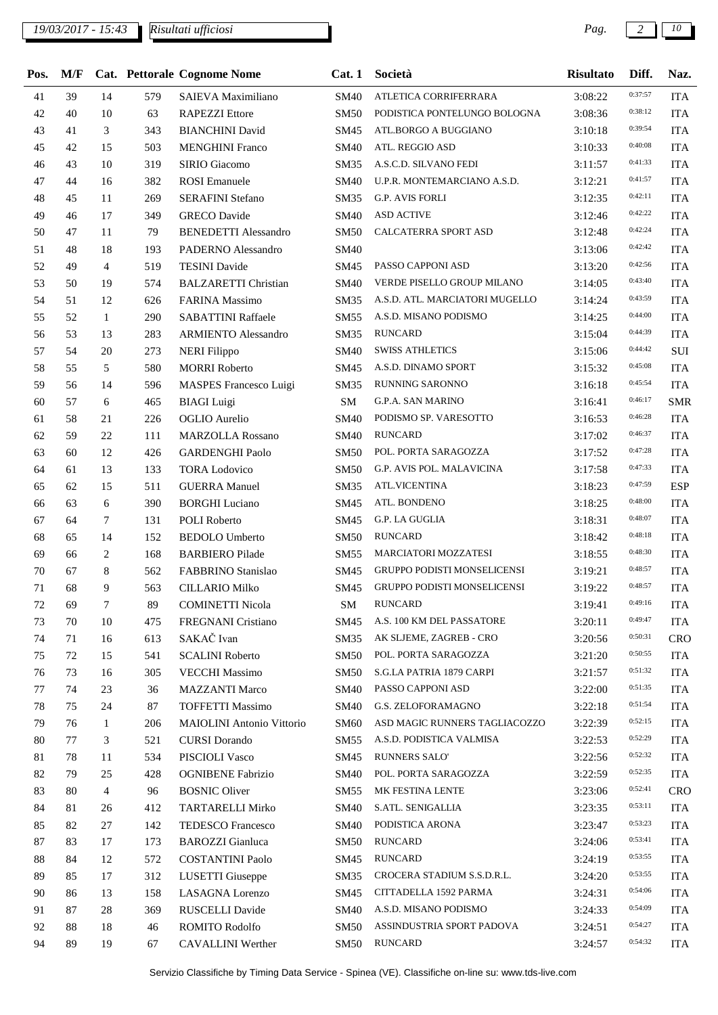| Pos.   | M/F |                  |     | Cat. Pettorale Cognome Nome      | Cat.1       | Società                        | <b>Risultato</b> | Diff.   | Naz.       |
|--------|-----|------------------|-----|----------------------------------|-------------|--------------------------------|------------------|---------|------------|
| 41     | 39  | 14               | 579 | SAIEVA Maximiliano               | <b>SM40</b> | ATLETICA CORRIFERRARA          | 3:08:22          | 0:37:57 | <b>ITA</b> |
| 42     | 40  | 10               | 63  | <b>RAPEZZI</b> Ettore            | <b>SM50</b> | PODISTICA PONTELUNGO BOLOGNA   | 3:08:36          | 0:38:12 | <b>ITA</b> |
| 43     | 41  | 3                | 343 | <b>BIANCHINI</b> David           | SM45        | ATL.BORGO A BUGGIANO           | 3:10:18          | 0:39:54 | <b>ITA</b> |
| 45     | 42  | 15               | 503 | <b>MENGHINI Franco</b>           | <b>SM40</b> | ATL. REGGIO ASD                | 3:10:33          | 0:40:08 | <b>ITA</b> |
| 46     | 43  | 10               | 319 | SIRIO Giacomo                    | <b>SM35</b> | A.S.C.D. SILVANO FEDI          | 3:11:57          | 0:41:33 | <b>ITA</b> |
| 47     | 44  | 16               | 382 | <b>ROSI</b> Emanuele             | <b>SM40</b> | U.P.R. MONTEMARCIANO A.S.D.    | 3:12:21          | 0:41:57 | <b>ITA</b> |
| 48     | 45  | 11               | 269 | <b>SERAFINI</b> Stefano          | <b>SM35</b> | <b>G.P. AVIS FORLI</b>         | 3:12:35          | 0:42:11 | <b>ITA</b> |
| 49     | 46  | 17               | 349 | <b>GRECO</b> Davide              | <b>SM40</b> | <b>ASD ACTIVE</b>              | 3:12:46          | 0:42:22 | <b>ITA</b> |
| 50     | 47  | 11               | 79  | <b>BENEDETTI Alessandro</b>      | <b>SM50</b> | CALCATERRA SPORT ASD           | 3:12:48          | 0:42:24 | <b>ITA</b> |
| 51     | 48  | 18               | 193 | PADERNO Alessandro               | <b>SM40</b> |                                | 3:13:06          | 0:42:42 | <b>ITA</b> |
| 52     | 49  | $\overline{4}$   | 519 | <b>TESINI</b> Davide             | SM45        | PASSO CAPPONI ASD              | 3:13:20          | 0:42:56 | <b>ITA</b> |
| 53     | 50  | 19               | 574 | <b>BALZARETTI Christian</b>      | <b>SM40</b> | VERDE PISELLO GROUP MILANO     | 3:14:05          | 0:43:40 | <b>ITA</b> |
| 54     | 51  | 12               | 626 | FARINA Massimo                   | <b>SM35</b> | A.S.D. ATL. MARCIATORI MUGELLO | 3:14:24          | 0:43:59 | <b>ITA</b> |
| 55     | 52  | $\mathbf{1}$     | 290 | <b>SABATTINI Raffaele</b>        | <b>SM55</b> | A.S.D. MISANO PODISMO          | 3:14:25          | 0:44:00 | <b>ITA</b> |
| 56     | 53  | 13               | 283 | <b>ARMIENTO Alessandro</b>       | <b>SM35</b> | <b>RUNCARD</b>                 | 3:15:04          | 0:44:39 | <b>ITA</b> |
| 57     | 54  | 20               | 273 | <b>NERI</b> Filippo              | <b>SM40</b> | <b>SWISS ATHLETICS</b>         | 3:15:06          | 0:44:42 | SUI        |
| 58     | 55  | 5                | 580 | <b>MORRI Roberto</b>             | SM45        | A.S.D. DINAMO SPORT            | 3:15:32          | 0:45:08 | <b>ITA</b> |
| 59     | 56  | 14               | 596 | MASPES Francesco Luigi           | SM35        | RUNNING SARONNO                | 3:16:18          | 0:45:54 | <b>ITA</b> |
| 60     | 57  | 6                | 465 | <b>BIAGI</b> Luigi               | ${\bf SM}$  | <b>G.P.A. SAN MARINO</b>       | 3:16:41          | 0:46:17 | <b>SMR</b> |
| 61     | 58  | 21               | 226 | OGLIO Aurelio                    | <b>SM40</b> | PODISMO SP. VARESOTTO          | 3:16:53          | 0:46:28 | <b>ITA</b> |
| 62     | 59  | 22               | 111 | <b>MARZOLLA Rossano</b>          | <b>SM40</b> | <b>RUNCARD</b>                 | 3:17:02          | 0:46:37 | <b>ITA</b> |
| 63     | 60  | 12               | 426 | <b>GARDENGHI Paolo</b>           | <b>SM50</b> | POL. PORTA SARAGOZZA           | 3:17:52          | 0:47:28 | <b>ITA</b> |
| 64     | 61  | 13               | 133 | <b>TORA Lodovico</b>             | SM50        | G.P. AVIS POL. MALAVICINA      | 3:17:58          | 0:47:33 | <b>ITA</b> |
| 65     | 62  | 15               | 511 | <b>GUERRA Manuel</b>             | <b>SM35</b> | ATL.VICENTINA                  | 3:18:23          | 0:47:59 | <b>ESP</b> |
| 66     | 63  | 6                | 390 | <b>BORGHI</b> Luciano            | SM45        | ATL. BONDENO                   | 3:18:25          | 0:48:00 | <b>ITA</b> |
| 67     | 64  | $\tau$           | 131 | <b>POLI</b> Roberto              | SM45        | G.P. LA GUGLIA                 | 3:18:31          | 0:48:07 | <b>ITA</b> |
| 68     | 65  | 14               | 152 | <b>BEDOLO</b> Umberto            | <b>SM50</b> | <b>RUNCARD</b>                 | 3:18:42          | 0:48:18 | <b>ITA</b> |
| 69     | 66  | 2                | 168 | <b>BARBIERO Pilade</b>           | <b>SM55</b> | MARCIATORI MOZZATESI           | 3:18:55          | 0:48:30 | <b>ITA</b> |
| 70     | 67  | 8                | 562 | FABBRINO Stanislao               | SM45        | GRUPPO PODISTI MONSELICENSI    | 3:19:21          | 0:48:57 | <b>ITA</b> |
| 71     | 68  | 9                | 563 | <b>CILLARIO Milko</b>            | SM45        | GRUPPO PODISTI MONSELICENSI    | 3:19:22          | 0:48:57 | <b>ITA</b> |
| 72     | 69  | $\boldsymbol{7}$ | 89  | COMINETTI Nicola                 | SM          | RUNCARD                        | 3:19:41          | 0:49:16 | <b>ITA</b> |
| 73     | 70  | 10               | 475 | FREGNANI Cristiano               | SM45        | A.S. 100 KM DEL PASSATORE      | 3:20:11          | 0:49:47 | <b>ITA</b> |
| 74     | 71  | 16               | 613 | SAKAČ Ivan                       | <b>SM35</b> | AK SLJEME, ZAGREB - CRO        | 3:20:56          | 0:50:31 | <b>CRO</b> |
| 75     | 72  | 15               | 541 | <b>SCALINI Roberto</b>           | <b>SM50</b> | POL. PORTA SARAGOZZA           | 3:21:20          | 0:50:55 | <b>ITA</b> |
| 76     | 73  | 16               | 305 | <b>VECCHI Massimo</b>            | <b>SM50</b> | S.G.LA PATRIA 1879 CARPI       | 3:21:57          | 0:51:32 | <b>ITA</b> |
| 77     | 74  | 23               | 36  | <b>MAZZANTI Marco</b>            | <b>SM40</b> | PASSO CAPPONI ASD              | 3:22:00          | 0:51:35 | <b>ITA</b> |
| 78     | 75  | 24               | 87  | <b>TOFFETTI Massimo</b>          | <b>SM40</b> | G.S. ZELOFORAMAGNO             | 3:22:18          | 0:51:54 | <b>ITA</b> |
| 79     | 76  | $\mathbf{1}$     | 206 | <b>MAIOLINI</b> Antonio Vittorio | <b>SM60</b> | ASD MAGIC RUNNERS TAGLIACOZZO  | 3:22:39          | 0:52:15 | <b>ITA</b> |
| 80     | 77  | 3                | 521 | <b>CURSI</b> Dorando             | <b>SM55</b> | A.S.D. PODISTICA VALMISA       | 3:22:53          | 0:52:29 | <b>ITA</b> |
| 81     | 78  | 11               | 534 | PISCIOLI Vasco                   | SM45        | <b>RUNNERS SALO</b>            | 3:22:56          | 0:52:32 | <b>ITA</b> |
| 82     | 79  | 25               | 428 | <b>OGNIBENE Fabrizio</b>         | <b>SM40</b> | POL. PORTA SARAGOZZA           | 3:22:59          | 0:52:35 | <b>ITA</b> |
| 83     | 80  | $\overline{4}$   | 96  | <b>BOSNIC Oliver</b>             | <b>SM55</b> | MK FESTINA LENTE               | 3:23:06          | 0:52:41 | <b>CRO</b> |
| 84     | 81  | 26               | 412 | <b>TARTARELLI Mirko</b>          | <b>SM40</b> | S.ATL. SENIGALLIA              | 3:23:35          | 0:53:11 | <b>ITA</b> |
| 85     | 82  | 27               | 142 | TEDESCO Francesco                | <b>SM40</b> | PODISTICA ARONA                | 3:23:47          | 0:53:23 | <b>ITA</b> |
| $87\,$ | 83  | 17               | 173 | <b>BAROZZI</b> Gianluca          | <b>SM50</b> | <b>RUNCARD</b>                 | 3:24:06          | 0:53:41 | <b>ITA</b> |
| $88\,$ | 84  | 12               | 572 | <b>COSTANTINI Paolo</b>          | SM45        | <b>RUNCARD</b>                 | 3:24:19          | 0:53:55 | <b>ITA</b> |
| 89     | 85  | 17               | 312 | LUSETTI Giuseppe                 | SM35        | CROCERA STADIUM S.S.D.R.L.     | 3:24:20          | 0:53:55 | <b>ITA</b> |
| 90     | 86  | 13               | 158 | LASAGNA Lorenzo                  | SM45        | CITTADELLA 1592 PARMA          | 3:24:31          | 0:54:06 | <b>ITA</b> |
| 91     | 87  | 28               | 369 | RUSCELLI Davide                  | <b>SM40</b> | A.S.D. MISANO PODISMO          | 3:24:33          | 0:54:09 | <b>ITA</b> |
| 92     | 88  | 18               | 46  | <b>ROMITO Rodolfo</b>            | <b>SM50</b> | ASSINDUSTRIA SPORT PADOVA      | 3:24:51          | 0:54:27 | <b>ITA</b> |
| 94     | 89  | 19               | 67  | CAVALLINI Werther                | <b>SM50</b> | <b>RUNCARD</b>                 | 3:24:57          | 0:54:32 | <b>ITA</b> |
|        |     |                  |     |                                  |             |                                |                  |         |            |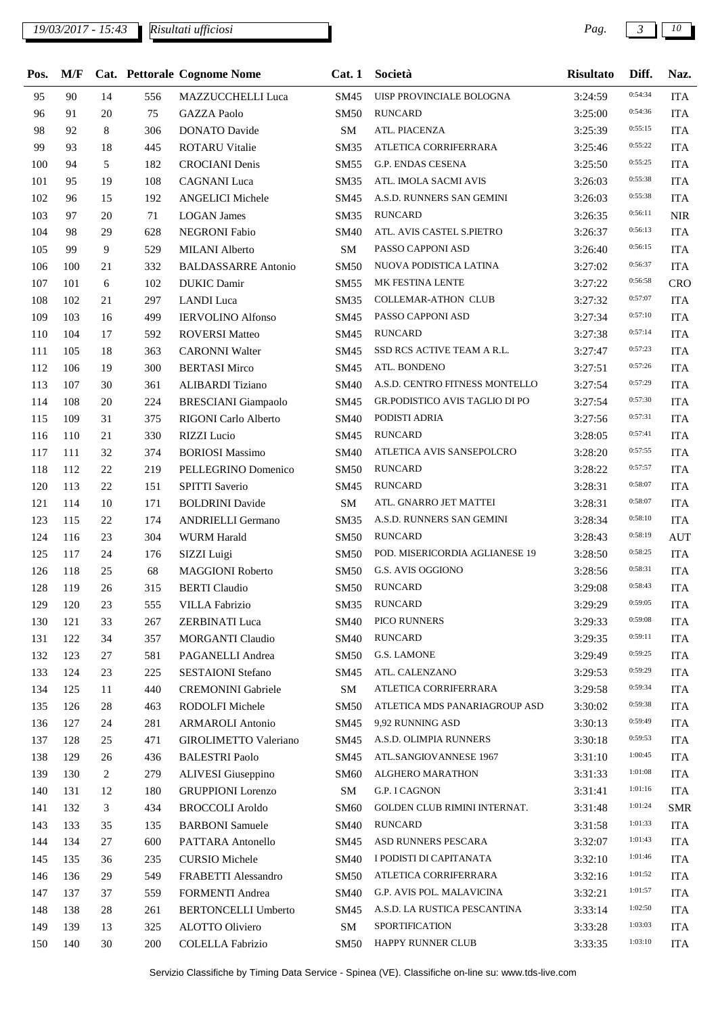## *19/03/2017 - 15:43 Pag. 3 10*

| Pos. | M/F |        |     | Cat. Pettorale Cognome Nome | Cat.1       | Società                        | <b>Risultato</b> | Diff.   | Naz.       |
|------|-----|--------|-----|-----------------------------|-------------|--------------------------------|------------------|---------|------------|
| 95   | 90  | 14     | 556 | MAZZUCCHELLI Luca           | SM45        | UISP PROVINCIALE BOLOGNA       | 3:24:59          | 0:54:34 | <b>ITA</b> |
| 96   | 91  | 20     | 75  | <b>GAZZA Paolo</b>          | <b>SM50</b> | <b>RUNCARD</b>                 | 3:25:00          | 0:54:36 | <b>ITA</b> |
| 98   | 92  | 8      | 306 | <b>DONATO</b> Davide        | SM          | ATL. PIACENZA                  | 3:25:39          | 0:55:15 | <b>ITA</b> |
| 99   | 93  | 18     | 445 | <b>ROTARU Vitalie</b>       | SM35        | ATLETICA CORRIFERRARA          | 3:25:46          | 0:55:22 | <b>ITA</b> |
| 100  | 94  | 5      | 182 | <b>CROCIANI</b> Denis       | SM55        | G.P. ENDAS CESENA              | 3:25:50          | 0:55:25 | <b>ITA</b> |
| 101  | 95  | 19     | 108 | <b>CAGNANI</b> Luca         | SM35        | ATL. IMOLA SACMI AVIS          | 3:26:03          | 0:55:38 | <b>ITA</b> |
| 102  | 96  | 15     | 192 | <b>ANGELICI Michele</b>     | SM45        | A.S.D. RUNNERS SAN GEMINI      | 3:26:03          | 0:55:38 | <b>ITA</b> |
| 103  | 97  | 20     | 71  | <b>LOGAN James</b>          | <b>SM35</b> | <b>RUNCARD</b>                 | 3:26:35          | 0:56:11 | <b>NIR</b> |
| 104  | 98  | 29     | 628 | <b>NEGRONI</b> Fabio        | SM40        | ATL. AVIS CASTEL S.PIETRO      | 3:26:37          | 0:56:13 | <b>ITA</b> |
| 105  | 99  | 9      | 529 | <b>MILANI</b> Alberto       | SM          | PASSO CAPPONI ASD              | 3:26:40          | 0:56:15 | <b>ITA</b> |
| 106  | 100 | 21     | 332 | <b>BALDASSARRE Antonio</b>  | <b>SM50</b> | NUOVA PODISTICA LATINA         | 3:27:02          | 0:56:37 | <b>ITA</b> |
| 107  | 101 | 6      | 102 | <b>DUKIC</b> Damir          | SM55        | MK FESTINA LENTE               | 3:27:22          | 0:56:58 | CRO        |
| 108  | 102 | 21     | 297 | <b>LANDI</b> Luca           | SM35        | COLLEMAR-ATHON CLUB            | 3:27:32          | 0:57:07 | <b>ITA</b> |
| 109  | 103 | 16     | 499 | <b>IERVOLINO Alfonso</b>    | SM45        | PASSO CAPPONI ASD              | 3:27:34          | 0:57:10 | <b>ITA</b> |
| 110  | 104 | 17     | 592 | <b>ROVERSI Matteo</b>       | SM45        | <b>RUNCARD</b>                 | 3:27:38          | 0:57:14 | <b>ITA</b> |
| 111  | 105 | 18     | 363 | <b>CARONNI Walter</b>       | SM45        | SSD RCS ACTIVE TEAM A R.L.     | 3:27:47          | 0:57:23 | <b>ITA</b> |
| 112  | 106 | 19     | 300 | <b>BERTASI Mirco</b>        | SM45        | ATL. BONDENO                   | 3:27:51          | 0:57:26 | <b>ITA</b> |
| 113  | 107 | 30     | 361 | <b>ALIBARDI</b> Tiziano     | <b>SM40</b> | A.S.D. CENTRO FITNESS MONTELLO | 3:27:54          | 0:57:29 | <b>ITA</b> |
| 114  | 108 | 20     | 224 | <b>BRESCIANI</b> Giampaolo  | SM45        | GR.PODISTICO AVIS TAGLIO DI PO | 3:27:54          | 0:57:30 | <b>ITA</b> |
| 115  | 109 | 31     | 375 | RIGONI Carlo Alberto        | <b>SM40</b> | PODISTI ADRIA                  | 3:27:56          | 0:57:31 | <b>ITA</b> |
| 116  | 110 | 21     | 330 | <b>RIZZI</b> Lucio          | SM45        | <b>RUNCARD</b>                 | 3:28:05          | 0:57:41 | <b>ITA</b> |
| 117  | 111 | 32     | 374 | <b>BORIOSI</b> Massimo      | <b>SM40</b> | ATLETICA AVIS SANSEPOLCRO      | 3:28:20          | 0:57:55 | <b>ITA</b> |
| 118  | 112 | 22     | 219 | PELLEGRINO Domenico         | SM50        | <b>RUNCARD</b>                 | 3:28:22          | 0:57:57 | <b>ITA</b> |
| 120  | 113 | $22\,$ | 151 | SPITTI Saverio              | SM45        | <b>RUNCARD</b>                 | 3:28:31          | 0:58:07 | <b>ITA</b> |
| 121  | 114 | 10     | 171 | <b>BOLDRINI</b> Davide      | SM          | ATL. GNARRO JET MATTEI         | 3:28:31          | 0:58:07 | <b>ITA</b> |
| 123  | 115 | 22     | 174 | <b>ANDRIELLI Germano</b>    | SM35        | A.S.D. RUNNERS SAN GEMINI      | 3:28:34          | 0:58:10 | <b>ITA</b> |
| 124  | 116 | 23     | 304 | <b>WURM Harald</b>          | <b>SM50</b> | <b>RUNCARD</b>                 | 3:28:43          | 0:58:19 | <b>AUT</b> |
| 125  | 117 | 24     | 176 | SIZZI Luigi                 | <b>SM50</b> | POD. MISERICORDIA AGLIANESE 19 | 3:28:50          | 0:58:25 | <b>ITA</b> |
| 126  | 118 | 25     | 68  | <b>MAGGIONI Roberto</b>     | SM50        | G.S. AVIS OGGIONO              | 3:28:56          | 0:58:31 | <b>ITA</b> |
| 128  | 119 | 26     | 315 | <b>BERTI</b> Claudio        | <b>SM50</b> | <b>RUNCARD</b>                 | 3:29:08          | 0:58:43 | <b>ITA</b> |
| 129  | 120 | 23     | 555 | <b>VILLA Fabrizio</b>       | SM35        | <b>RUNCARD</b>                 | 3:29:29          | 0:59:05 | <b>ITA</b> |
| 130  | 121 | 33     | 267 | <b>ZERBINATI Luca</b>       | SM40        | PICO RUNNERS                   | 3:29:33          | 0:59:08 | <b>ITA</b> |
| 131  | 122 | 34     | 357 | <b>MORGANTI Claudio</b>     | SM40        | <b>RUNCARD</b>                 | 3:29:35          | 0:59:11 | <b>ITA</b> |
| 132  | 123 | 27     | 581 | PAGANELLI Andrea            | <b>SM50</b> | G.S. LAMONE                    | 3:29:49          | 0:59:25 | <b>ITA</b> |
| 133  | 124 | 23     | 225 | SESTAIONI Stefano           | SM45        | ATL. CALENZANO                 | 3:29:53          | 0:59:29 | <b>ITA</b> |
| 134  | 125 | 11     | 440 | <b>CREMONINI</b> Gabriele   | SM          | ATLETICA CORRIFERRARA          | 3:29:58          | 0:59:34 | <b>ITA</b> |
| 135  | 126 | 28     | 463 | RODOLFI Michele             | <b>SM50</b> | ATLETICA MDS PANARIAGROUP ASD  | 3:30:02          | 0:59:38 | <b>ITA</b> |
| 136  | 127 | 24     | 281 | <b>ARMAROLI</b> Antonio     | SM45        | 9,92 RUNNING ASD               | 3:30:13          | 0:59:49 | <b>ITA</b> |
| 137  | 128 | 25     | 471 | GIROLIMETTO Valeriano       | SM45        | A.S.D. OLIMPIA RUNNERS         | 3:30:18          | 0:59:53 | <b>ITA</b> |
| 138  | 129 | 26     | 436 | <b>BALESTRI Paolo</b>       | SM45        | ATL.SANGIOVANNESE 1967         | 3:31:10          | 1:00:45 | <b>ITA</b> |
| 139  | 130 | 2      | 279 | ALIVESI Giuseppino          | SM60        | ALGHERO MARATHON               | 3:31:33          | 1:01:08 | <b>ITA</b> |
| 140  | 131 | 12     | 180 | <b>GRUPPIONI</b> Lorenzo    | SM          | G.P. I CAGNON                  | 3:31:41          | 1:01:16 | <b>ITA</b> |
| 141  | 132 | 3      | 434 | <b>BROCCOLI Aroldo</b>      | <b>SM60</b> | GOLDEN CLUB RIMINI INTERNAT.   | 3:31:48          | 1:01:24 | <b>SMR</b> |
| 143  | 133 | 35     | 135 | <b>BARBONI</b> Samuele      | SM40        | <b>RUNCARD</b>                 | 3:31:58          | 1:01:33 | <b>ITA</b> |
| 144  | 134 | 27     | 600 | PATTARA Antonello           | SM45        | ASD RUNNERS PESCARA            | 3:32:07          | 1:01:43 | <b>ITA</b> |
| 145  | 135 | 36     | 235 | <b>CURSIO</b> Michele       | SM40        | I PODISTI DI CAPITANATA        | 3:32:10          | 1:01:46 | <b>ITA</b> |
| 146  | 136 | 29     | 549 | FRABETTI Alessandro         | <b>SM50</b> | ATLETICA CORRIFERRARA          | 3:32:16          | 1:01:52 | <b>ITA</b> |
| 147  | 137 | 37     | 559 | FORMENTI Andrea             | SM40        | G.P. AVIS POL. MALAVICINA      | 3:32:21          | 1:01:57 | <b>ITA</b> |
| 148  | 138 | 28     | 261 | <b>BERTONCELLI Umberto</b>  | SM45        | A.S.D. LA RUSTICA PESCANTINA   | 3:33:14          | 1:02:50 | <b>ITA</b> |
| 149  | 139 | 13     | 325 | ALOTTO Oliviero             | SM          | <b>SPORTIFICATION</b>          | 3:33:28          | 1:03:03 | <b>ITA</b> |
| 150  | 140 | 30     | 200 | <b>COLELLA Fabrizio</b>     | <b>SM50</b> | HAPPY RUNNER CLUB              | 3:33:35          | 1:03:10 | <b>ITA</b> |
|      |     |        |     |                             |             |                                |                  |         |            |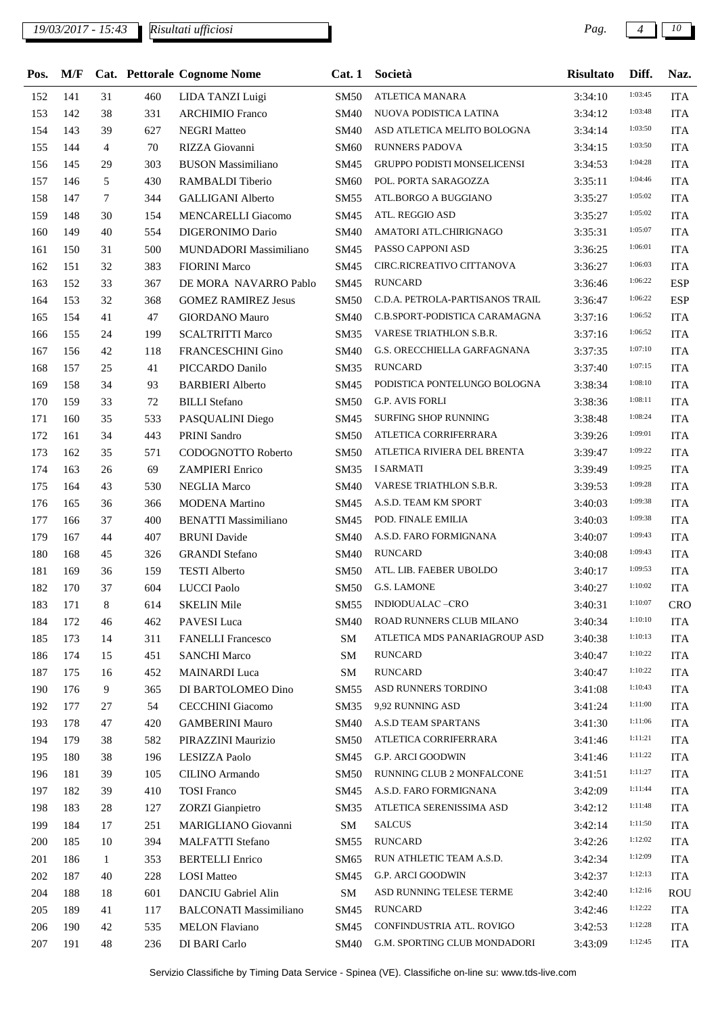## *19/03/2017 - 15:43 Pag. 4 10*

| Pos. |     |                |     | M/F Cat. Pettorale Cognome Nome | Cat.1       | Società                            | <b>Risultato</b> | Diff.   | Naz.       |
|------|-----|----------------|-----|---------------------------------|-------------|------------------------------------|------------------|---------|------------|
| 152  | 141 | 31             | 460 | LIDA TANZI Luigi                | <b>SM50</b> | ATLETICA MANARA                    | 3:34:10          | 1:03:45 | <b>ITA</b> |
| 153  | 142 | 38             | 331 | <b>ARCHIMIO</b> Franco          | <b>SM40</b> | NUOVA PODISTICA LATINA             | 3:34:12          | 1:03:48 | <b>ITA</b> |
| 154  | 143 | 39             | 627 | <b>NEGRI Matteo</b>             | <b>SM40</b> | ASD ATLETICA MELITO BOLOGNA        | 3:34:14          | 1:03:50 | <b>ITA</b> |
| 155  | 144 | $\overline{4}$ | 70  | RIZZA Giovanni                  | SM60        | <b>RUNNERS PADOVA</b>              | 3:34:15          | 1:03:50 | <b>ITA</b> |
| 156  | 145 | 29             | 303 | <b>BUSON Massimiliano</b>       | SM45        | <b>GRUPPO PODISTI MONSELICENSI</b> | 3:34:53          | 1:04:28 | <b>ITA</b> |
| 157  | 146 | 5              | 430 | RAMBALDI Tiberio                | <b>SM60</b> | POL. PORTA SARAGOZZA               | 3:35:11          | 1:04:46 | <b>ITA</b> |
| 158  | 147 | $\tau$         | 344 | <b>GALLIGANI Alberto</b>        | SM55        | ATL.BORGO A BUGGIANO               | 3:35:27          | 1:05:02 | <b>ITA</b> |
| 159  | 148 | 30             | 154 | MENCARELLI Giacomo              | SM45        | ATL. REGGIO ASD                    | 3:35:27          | 1:05:02 | <b>ITA</b> |
| 160  | 149 | 40             | 554 | DIGERONIMO Dario                | <b>SM40</b> | AMATORI ATL.CHIRIGNAGO             | 3:35:31          | 1:05:07 | <b>ITA</b> |
| 161  | 150 | 31             | 500 | MUNDADORI Massimiliano          | SM45        | PASSO CAPPONI ASD                  | 3:36:25          | 1:06:01 | <b>ITA</b> |
| 162  | 151 | 32             | 383 | <b>FIORINI Marco</b>            | SM45        | CIRC.RICREATIVO CITTANOVA          | 3:36:27          | 1:06:03 | <b>ITA</b> |
| 163  | 152 | 33             | 367 | DE MORA NAVARRO Pablo           | SM45        | <b>RUNCARD</b>                     | 3:36:46          | 1:06:22 | <b>ESP</b> |
| 164  | 153 | 32             | 368 | <b>GOMEZ RAMIREZ Jesus</b>      | <b>SM50</b> | C.D.A. PETROLA-PARTISANOS TRAIL    | 3:36:47          | 1:06:22 | <b>ESP</b> |
| 165  | 154 | 41             | 47  | <b>GIORDANO Mauro</b>           | <b>SM40</b> | C.B.SPORT-PODISTICA CARAMAGNA      | 3:37:16          | 1:06:52 | <b>ITA</b> |
| 166  | 155 | 24             | 199 | <b>SCALTRITTI Marco</b>         | SM35        | VARESE TRIATHLON S.B.R.            | 3:37:16          | 1:06:52 | <b>ITA</b> |
| 167  | 156 | 42             | 118 | FRANCESCHINI Gino               | <b>SM40</b> | G.S. ORECCHIELLA GARFAGNANA        | 3:37:35          | 1:07:10 | <b>ITA</b> |
| 168  | 157 | 25             | 41  | PICCARDO Danilo                 | SM35        | <b>RUNCARD</b>                     | 3:37:40          | 1:07:15 | <b>ITA</b> |
| 169  | 158 | 34             | 93  | <b>BARBIERI</b> Alberto         | SM45        | PODISTICA PONTELUNGO BOLOGNA       | 3:38:34          | 1:08:10 | <b>ITA</b> |
| 170  | 159 | 33             | 72  | <b>BILLI</b> Stefano            | <b>SM50</b> | <b>G.P. AVIS FORLI</b>             | 3:38:36          | 1:08:11 | <b>ITA</b> |
| 171  | 160 | 35             | 533 | PASQUALINI Diego                | SM45        | <b>SURFING SHOP RUNNING</b>        | 3:38:48          | 1:08:24 | <b>ITA</b> |
| 172  | 161 | 34             | 443 | PRINI Sandro                    | <b>SM50</b> | ATLETICA CORRIFERRARA              | 3:39:26          | 1:09:01 | <b>ITA</b> |
| 173  | 162 | 35             | 571 | CODOGNOTTO Roberto              | <b>SM50</b> | ATLETICA RIVIERA DEL BRENTA        | 3:39:47          | 1:09:22 | <b>ITA</b> |
| 174  | 163 | 26             | 69  | <b>ZAMPIERI</b> Enrico          | SM35        | I SARMATI                          | 3:39:49          | 1:09:25 | <b>ITA</b> |
| 175  | 164 | 43             | 530 | <b>NEGLIA</b> Marco             | <b>SM40</b> | VARESE TRIATHLON S.B.R.            | 3:39:53          | 1:09:28 | <b>ITA</b> |
| 176  | 165 | 36             | 366 | <b>MODENA</b> Martino           | SM45        | A.S.D. TEAM KM SPORT               | 3:40:03          | 1:09:38 | <b>ITA</b> |
| 177  | 166 | 37             | 400 | <b>BENATTI Massimiliano</b>     | SM45        | POD. FINALE EMILIA                 | 3:40:03          | 1:09:38 | <b>ITA</b> |
| 179  | 167 | 44             | 407 | <b>BRUNI</b> Davide             | <b>SM40</b> | A.S.D. FARO FORMIGNANA             | 3:40:07          | 1:09:43 | <b>ITA</b> |
| 180  | 168 | 45             | 326 | <b>GRANDI Stefano</b>           | <b>SM40</b> | <b>RUNCARD</b>                     | 3:40:08          | 1:09:43 | <b>ITA</b> |
| 181  | 169 | 36             | 159 | <b>TESTI</b> Alberto            | <b>SM50</b> | ATL. LIB. FAEBER UBOLDO            | 3:40:17          | 1:09:53 | <b>ITA</b> |
| 182  | 170 | 37             | 604 | <b>LUCCI</b> Paolo              | <b>SM50</b> | <b>G.S. LAMONE</b>                 | 3:40:27          | 1:10:02 | <b>ITA</b> |
| 183  | 171 | 8              | 614 | <b>SKELIN Mile</b>              | SM55        | INDIODUALAC-CRO                    | 3:40:31          | 1:10:07 | <b>CRO</b> |
| 184  | 172 | 46             | 462 | PAVESI Luca                     | <b>SM40</b> | ROAD RUNNERS CLUB MILANO           | 3:40:34          | 1:10:10 | <b>ITA</b> |
| 185  | 173 | 14             | 311 | <b>FANELLI</b> Francesco        | SM          | ATLETICA MDS PANARIAGROUP ASD      | 3:40:38          | 1:10:13 | <b>ITA</b> |
| 186  | 174 | 15             | 451 | <b>SANCHI Marco</b>             | SM          | <b>RUNCARD</b>                     | 3:40:47          | 1:10:22 | <b>ITA</b> |
| 187  | 175 | 16             | 452 | <b>MAINARDI</b> Luca            | SM          | <b>RUNCARD</b>                     | 3:40:47          | 1:10:22 | <b>ITA</b> |
| 190  | 176 | 9              | 365 | DI BARTOLOMEO Dino              | SM55        | ASD RUNNERS TORDINO                | 3:41:08          | 1:10:43 | <b>ITA</b> |
| 192  | 177 | 27             | 54  | CECCHINI Giacomo                | SM35        | 9,92 RUNNING ASD                   | 3:41:24          | 1:11:00 | <b>ITA</b> |
| 193  | 178 | 47             | 420 | <b>GAMBERINI Mauro</b>          | <b>SM40</b> | A.S.D TEAM SPARTANS                | 3:41:30          | 1:11:06 | <b>ITA</b> |
| 194  | 179 | 38             | 582 | PIRAZZINI Maurizio              | <b>SM50</b> | ATLETICA CORRIFERRARA              | 3:41:46          | 1:11:21 | <b>ITA</b> |
| 195  | 180 | 38             | 196 | LESIZZA Paolo                   | SM45        | G.P. ARCI GOODWIN                  | 3:41:46          | 1:11:22 | <b>ITA</b> |
| 196  | 181 | 39             | 105 | CILINO Armando                  | <b>SM50</b> | RUNNING CLUB 2 MONFALCONE          | 3:41:51          | 1:11:27 | <b>ITA</b> |
| 197  | 182 | 39             | 410 | <b>TOSI</b> Franco              | SM45        | A.S.D. FARO FORMIGNANA             | 3:42:09          | 1:11:44 | <b>ITA</b> |
| 198  | 183 | 28             | 127 | <b>ZORZI</b> Gianpietro         | SM35        | ATLETICA SERENISSIMA ASD           | 3:42:12          | 1:11:48 | <b>ITA</b> |
| 199  | 184 | 17             | 251 | MARIGLIANO Giovanni             | SM          | <b>SALCUS</b>                      | 3:42:14          | 1:11:50 | <b>ITA</b> |
| 200  | 185 | 10             | 394 | MALFATTI Stefano                | SM55        | <b>RUNCARD</b>                     | 3:42:26          | 1:12:02 | <b>ITA</b> |
| 201  | 186 | $\mathbf{1}$   | 353 | <b>BERTELLI Enrico</b>          | SM65        | RUN ATHLETIC TEAM A.S.D.           | 3:42:34          | 1:12:09 | <b>ITA</b> |
| 202  | 187 | 40             | 228 | <b>LOSI</b> Matteo              | SM45        | <b>G.P. ARCI GOODWIN</b>           | 3:42:37          | 1:12:13 | <b>ITA</b> |
| 204  | 188 | 18             | 601 | DANCIU Gabriel Alin             | ${\rm SM}$  | ASD RUNNING TELESE TERME           | 3:42:40          | 1:12:16 | <b>ROU</b> |
| 205  | 189 | 41             | 117 | <b>BALCONATI Massimiliano</b>   | SM45        | <b>RUNCARD</b>                     | 3:42:46          | 1:12:22 | <b>ITA</b> |
| 206  | 190 | 42             | 535 | <b>MELON Flaviano</b>           | SM45        | CONFINDUSTRIA ATL. ROVIGO          | 3:42:53          | 1:12:28 | <b>ITA</b> |
| 207  | 191 | 48             | 236 | DI BARI Carlo                   | <b>SM40</b> | G.M. SPORTING CLUB MONDADORI       | 3:43:09          | 1:12:45 | <b>ITA</b> |
|      |     |                |     |                                 |             |                                    |                  |         |            |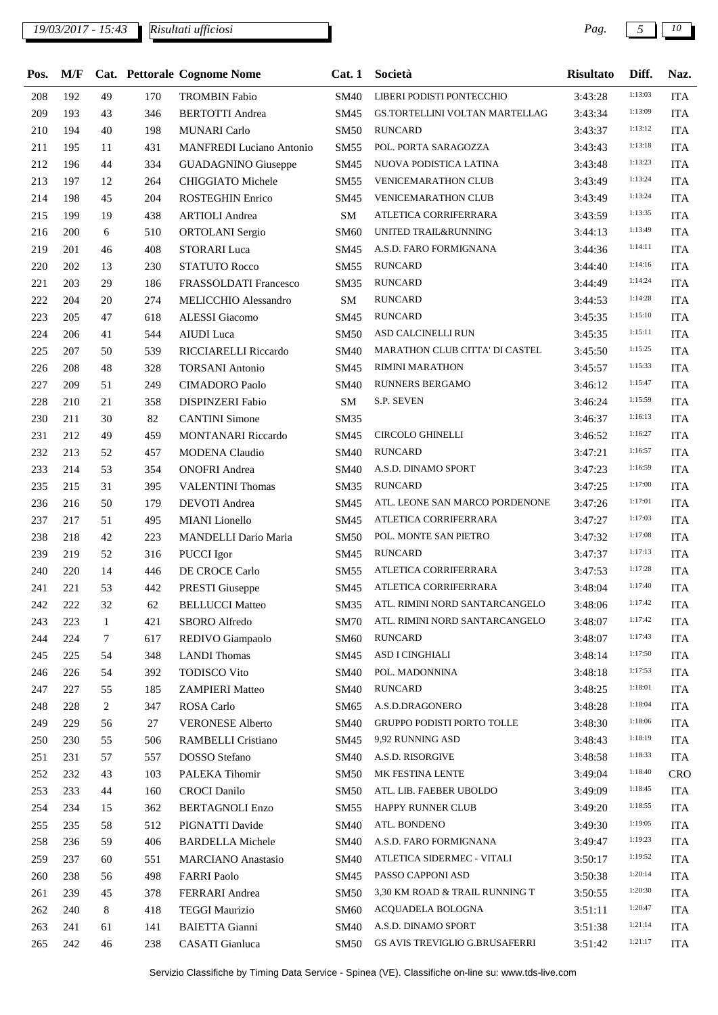## *19/03/2017 - 15:43 Pag. 5 10*

| Pos. | M/F        |              |     | Cat. Pettorale Cognome Nome     | Cat.1       | Società                        | <b>Risultato</b> | Diff.   | Naz.       |
|------|------------|--------------|-----|---------------------------------|-------------|--------------------------------|------------------|---------|------------|
| 208  | 192        | 49           | 170 | <b>TROMBIN Fabio</b>            | SM40        | LIBERI PODISTI PONTECCHIO      | 3:43:28          | 1:13:03 | <b>ITA</b> |
| 209  | 193        | 43           | 346 | <b>BERTOTTI</b> Andrea          | SM45        | GS.TORTELLINI VOLTAN MARTELLAG | 3:43:34          | 1:13:09 | <b>ITA</b> |
| 210  | 194        | 40           | 198 | <b>MUNARI</b> Carlo             | <b>SM50</b> | <b>RUNCARD</b>                 | 3:43:37          | 1:13:12 | <b>ITA</b> |
| 211  | 195        | 11           | 431 | <b>MANFREDI</b> Luciano Antonio | SM55        | POL. PORTA SARAGOZZA           | 3:43:43          | 1:13:18 | <b>ITA</b> |
| 212  | 196        | 44           | 334 | <b>GUADAGNINO</b> Giuseppe      | SM45        | NUOVA PODISTICA LATINA         | 3:43:48          | 1:13:23 | <b>ITA</b> |
| 213  | 197        | 12           | 264 | CHIGGIATO Michele               | SM55        | <b>VENICEMARATHON CLUB</b>     | 3:43:49          | 1:13:24 | <b>ITA</b> |
| 214  | 198        | 45           | 204 | ROSTEGHIN Enrico                | SM45        | <b>VENICEMARATHON CLUB</b>     | 3:43:49          | 1:13:24 | <b>ITA</b> |
| 215  | 199        | 19           | 438 | <b>ARTIOLI</b> Andrea           | ${\bf SM}$  | ATLETICA CORRIFERRARA          | 3:43:59          | 1:13:35 | <b>ITA</b> |
| 216  | <b>200</b> | 6            | 510 | ORTOLANI Sergio                 | SM60        | UNITED TRAIL&RUNNING           | 3:44:13          | 1:13:49 | <b>ITA</b> |
| 219  | 201        | 46           | 408 | <b>STORARI</b> Luca             | SM45        | A.S.D. FARO FORMIGNANA         | 3:44:36          | 1:14:11 | <b>ITA</b> |
| 220  | 202        | 13           | 230 | <b>STATUTO Rocco</b>            | SM55        | <b>RUNCARD</b>                 | 3:44:40          | 1:14:16 | <b>ITA</b> |
| 221  | 203        | 29           | 186 | FRASSOLDATI Francesco           | SM35        | <b>RUNCARD</b>                 | 3:44:49          | 1:14:24 | <b>ITA</b> |
| 222  | 204        | 20           | 274 | MELICCHIO Alessandro            | SM          | <b>RUNCARD</b>                 | 3:44:53          | 1:14:28 | <b>ITA</b> |
| 223  | 205        | 47           | 618 | ALESSI Giacomo                  | SM45        | <b>RUNCARD</b>                 | 3:45:35          | 1:15:10 | <b>ITA</b> |
| 224  | 206        | 41           | 544 | <b>AIUDI</b> Luca               | <b>SM50</b> | ASD CALCINELLI RUN             | 3:45:35          | 1:15:11 | <b>ITA</b> |
| 225  | 207        | 50           | 539 | RICCIARELLI Riccardo            | <b>SM40</b> | MARATHON CLUB CITTA' DI CASTEL | 3:45:50          | 1:15:25 | <b>ITA</b> |
| 226  | 208        | 48           | 328 | <b>TORSANI</b> Antonio          | SM45        | <b>RIMINI MARATHON</b>         | 3:45:57          | 1:15:33 | <b>ITA</b> |
| 227  | 209        | 51           | 249 | <b>CIMADORO</b> Paolo           | <b>SM40</b> | <b>RUNNERS BERGAMO</b>         | 3:46:12          | 1:15:47 | <b>ITA</b> |
| 228  | 210        | 21           | 358 | <b>DISPINZERI Fabio</b>         | SM          | S.P. SEVEN                     | 3:46:24          | 1:15:59 | <b>ITA</b> |
| 230  | 211        | 30           | 82  | <b>CANTINI</b> Simone           | SM35        |                                | 3:46:37          | 1:16:13 | <b>ITA</b> |
| 231  | 212        | 49           | 459 | MONTANARI Riccardo              | SM45        | <b>CIRCOLO GHINELLI</b>        | 3:46:52          | 1:16:27 | <b>ITA</b> |
| 232  | 213        | 52           | 457 | <b>MODENA</b> Claudio           | <b>SM40</b> | <b>RUNCARD</b>                 | 3:47:21          | 1:16:57 | <b>ITA</b> |
| 233  | 214        | 53           | 354 | <b>ONOFRI</b> Andrea            | <b>SM40</b> | A.S.D. DINAMO SPORT            | 3:47:23          | 1:16:59 | <b>ITA</b> |
| 235  | 215        | 31           | 395 | <b>VALENTINI Thomas</b>         | SM35        | <b>RUNCARD</b>                 | 3:47:25          | 1:17:00 | <b>ITA</b> |
| 236  | 216        | 50           | 179 | <b>DEVOTI</b> Andrea            | SM45        | ATL. LEONE SAN MARCO PORDENONE | 3:47:26          | 1:17:01 | <b>ITA</b> |
| 237  | 217        | 51           | 495 | <b>MIANI</b> Lionello           | SM45        | ATLETICA CORRIFERRARA          | 3:47:27          | 1:17:03 | <b>ITA</b> |
| 238  | 218        | 42           | 223 | MANDELLI Dario Maria            | SM50        | POL. MONTE SAN PIETRO          | 3:47:32          | 1:17:08 | <b>ITA</b> |
| 239  | 219        | 52           | 316 | PUCCI Igor                      | SM45        | <b>RUNCARD</b>                 | 3:47:37          | 1:17:13 | <b>ITA</b> |
| 240  | 220        | 14           | 446 | DE CROCE Carlo                  | SM55        | ATLETICA CORRIFERRARA          | 3:47:53          | 1:17:28 | <b>ITA</b> |
| 241  | 221        | 53           | 442 | <b>PRESTI Giuseppe</b>          | SM45        | ATLETICA CORRIFERRARA          | 3:48:04          | 1:17:40 | <b>ITA</b> |
| 242  | 222        | 32           | 62  | <b>BELLUCCI Matteo</b>          | SM35        | ATL. RIMINI NORD SANTARCANGELO | 3:48:06          | 1:17:42 | <b>ITA</b> |
| 243  | 223        | $\mathbf{1}$ | 421 | SBORO Alfredo                   | SM70        | ATL. RIMINI NORD SANTARCANGELO | 3:48:07          | 1:17:42 | <b>ITA</b> |
| 244  | 224        | 7            | 617 | REDIVO Giampaolo                | SM60        | <b>RUNCARD</b>                 | 3:48:07          | 1:17:43 | <b>ITA</b> |
| 245  | 225        | 54           | 348 | <b>LANDI</b> Thomas             | SM45        | ASD I CINGHIALI                | 3:48:14          | 1:17:50 | <b>ITA</b> |
| 246  | 226        | 54           | 392 | <b>TODISCO Vito</b>             | <b>SM40</b> | POL. MADONNINA                 | 3:48:18          | 1:17:53 | <b>ITA</b> |
| 247  | 227        | 55           | 185 | <b>ZAMPIERI Matteo</b>          | SM40        | <b>RUNCARD</b>                 | 3:48:25          | 1:18:01 | <b>ITA</b> |
| 248  | 228        | 2            | 347 | ROSA Carlo                      | SM65        | A.S.D.DRAGONERO                | 3:48:28          | 1:18:04 | <b>ITA</b> |
| 249  | 229        | 56           | 27  | <b>VERONESE Alberto</b>         | SM40        | GRUPPO PODISTI PORTO TOLLE     | 3:48:30          | 1:18:06 | <b>ITA</b> |
| 250  | 230        | 55           | 506 | <b>RAMBELLI</b> Cristiano       | SM45        | 9,92 RUNNING ASD               | 3:48:43          | 1:18:19 | <b>ITA</b> |
| 251  | 231        | 57           | 557 | DOSSO Stefano                   | SM40        | A.S.D. RISORGIVE               | 3:48:58          | 1:18:33 | <b>ITA</b> |
| 252  | 232        | 43           | 103 | PALEKA Tihomir                  | SM50        | MK FESTINA LENTE               | 3:49:04          | 1:18:40 | <b>CRO</b> |
| 253  | 233        | 44           | 160 | <b>CROCI</b> Danilo             | SM50        | ATL. LIB. FAEBER UBOLDO        | 3:49:09          | 1:18:45 | <b>ITA</b> |
| 254  | 234        | 15           | 362 | <b>BERTAGNOLI Enzo</b>          | SM55        | HAPPY RUNNER CLUB              | 3:49:20          | 1:18:55 | <b>ITA</b> |
| 255  | 235        | 58           | 512 | PIGNATTI Davide                 | SM40        | ATL. BONDENO                   | 3:49:30          | 1:19:05 | <b>ITA</b> |
| 258  | 236        | 59           | 406 | <b>BARDELLA Michele</b>         | SM40        | A.S.D. FARO FORMIGNANA         | 3:49:47          | 1:19:23 | <b>ITA</b> |
| 259  | 237        | 60           | 551 | <b>MARCIANO</b> Anastasio       | SM40        | ATLETICA SIDERMEC - VITALI     | 3:50:17          | 1:19:52 | <b>ITA</b> |
| 260  | 238        | 56           | 498 | <b>FARRI Paolo</b>              | SM45        | PASSO CAPPONI ASD              | 3:50:38          | 1:20:14 | <b>ITA</b> |
| 261  | 239        | 45           | 378 | FERRARI Andrea                  | SM50        | 3,30 KM ROAD & TRAIL RUNNING T | 3:50:55          | 1:20:30 | <b>ITA</b> |
| 262  | 240        | 8            | 418 | <b>TEGGI Maurizio</b>           | SM60        | ACQUADELA BOLOGNA              | 3:51:11          | 1:20:47 | <b>ITA</b> |
| 263  | 241        | 61           | 141 | <b>BAIETTA</b> Gianni           | <b>SM40</b> | A.S.D. DINAMO SPORT            | 3:51:38          | 1:21:14 | <b>ITA</b> |
| 265  | 242        | 46           | 238 | <b>CASATI</b> Gianluca          | SM50        | GS AVIS TREVIGLIO G.BRUSAFERRI | 3:51:42          | 1:21:17 | <b>ITA</b> |
|      |            |              |     |                                 |             |                                |                  |         |            |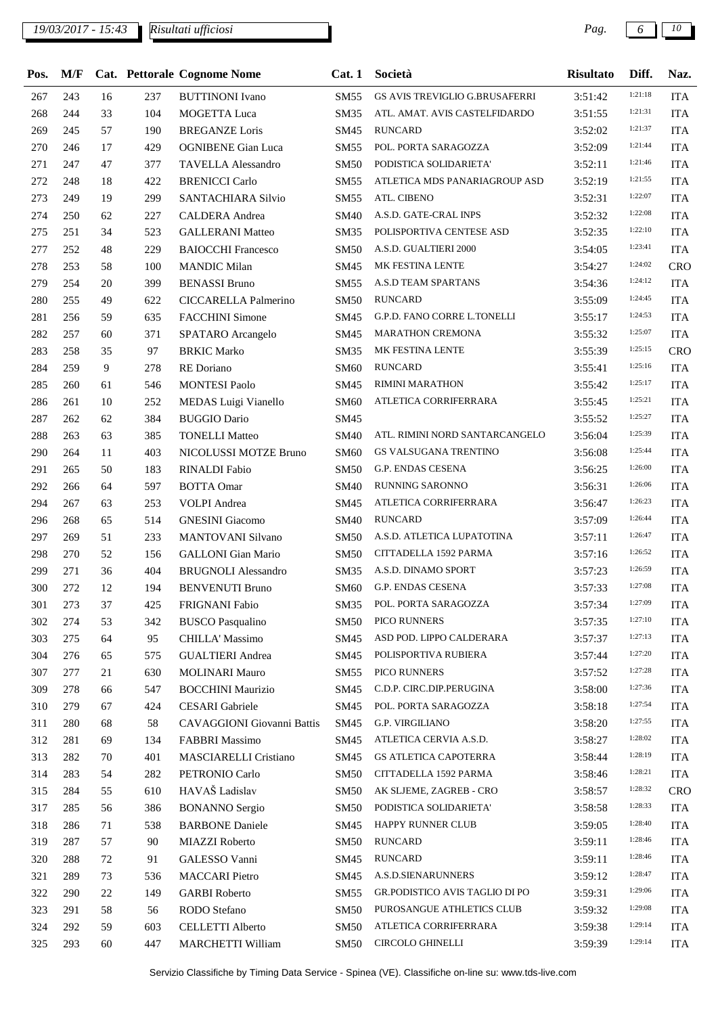## *19/03/2017 - 15:43 Pag. 6 10*

| 1:21:18<br>GS AVIS TREVIGLIO G.BRUSAFERRI<br>267<br>243<br>16<br>237<br><b>SM55</b><br><b>ITA</b><br><b>BUTTINONI</b> Ivano<br>3:51:42<br>1:21:31<br>268<br>104<br>244<br>33<br><b>MOGETTA Luca</b><br>SM35<br>ATL. AMAT. AVIS CASTELFIDARDO<br>3:51:55<br><b>ITA</b><br>1:21:37<br>269<br><b>RUNCARD</b><br><b>ITA</b><br>245<br>57<br>190<br><b>BREGANZE</b> Loris<br>SM45<br>3:52:02<br>1:21:44<br>270<br>POL. PORTA SARAGOZZA<br>246<br>17<br>429<br><b>OGNIBENE</b> Gian Luca<br><b>ITA</b><br>SM55<br>3:52:09<br>1:21:46<br>271<br>PODISTICA SOLIDARIETA'<br><b>ITA</b><br>247<br>47<br>377<br><b>TAVELLA Alessandro</b><br><b>SM50</b><br>3:52:11<br>1:21:55<br>272<br>ATLETICA MDS PANARIAGROUP ASD<br>248<br>18<br>422<br><b>BRENICCI Carlo</b><br>SM55<br>3:52:19<br><b>ITA</b><br>1:22:07<br>ATL. CIBENO<br>273<br>249<br>19<br>299<br>SANTACHIARA Silvio<br>SM55<br><b>ITA</b><br>3:52:31<br>1:22:08<br>274<br>A.S.D. GATE-CRAL INPS<br><b>ITA</b><br>250<br>62<br>227<br>CALDERA Andrea<br><b>SM40</b><br>3:52:32<br>1:22:10<br>POLISPORTIVA CENTESE ASD<br>275<br>251<br><b>ITA</b><br>34<br>523<br><b>GALLERANI Matteo</b><br><b>SM35</b><br>3:52:35<br>1:23:41<br>277<br>48<br>A.S.D. GUALTIERI 2000<br>252<br>229<br><b>BAIOCCHI Francesco</b><br><b>ITA</b><br>SM50<br>3:54:05<br>1:24:02<br>MK FESTINA LENTE<br>278<br><b>MANDIC Milan</b><br>CRO<br>253<br>58<br>100<br>SM45<br>3:54:27<br>1:24:12<br>A.S.D TEAM SPARTANS<br>279<br>254<br>399<br><b>BENASSI Bruno</b><br><b>ITA</b><br>20<br><b>SM55</b><br>3:54:36<br>1:24:45<br><b>RUNCARD</b><br>280<br>255<br>49<br>622<br>CICCARELLA Palmerino<br><b>SM50</b><br><b>ITA</b><br>3:55:09<br>1:24:53<br>281<br>G.P.D. FANO CORRE L.TONELLI<br><b>ITA</b><br>256<br>59<br>635<br><b>FACCHINI</b> Simone<br>SM45<br>3:55:17<br>1:25:07<br>282<br>257<br><b>ITA</b><br>60<br>371<br>SPATARO Arcangelo<br>SM45<br>MARATHON CREMONA<br>3:55:32<br>1:25:15<br>283<br>MK FESTINA LENTE<br><b>CRO</b><br>258<br>35<br>97<br><b>BRKIC Marko</b><br><b>SM35</b><br>3:55:39<br>1:25:16<br>284<br><b>RUNCARD</b><br>259<br>9<br><b>ITA</b><br>278<br>RE Doriano<br>SM60<br>3:55:41<br>1:25:17<br><b>RIMINI MARATHON</b><br>285<br>260<br>61<br>546<br><b>MONTESI Paolo</b><br>SM45<br>3:55:42<br><b>ITA</b><br>1:25:21<br>286<br>261<br>10<br>252<br>MEDAS Luigi Vianello<br><b>SM60</b><br>ATLETICA CORRIFERRARA<br><b>ITA</b><br>3:55:45<br>1:25:27<br>287<br>384<br>SM45<br><b>ITA</b><br>262<br>62<br><b>BUGGIO Dario</b><br>3:55:52<br>1:25:39<br>288<br><b>ITA</b><br>263<br>63<br>385<br><b>TONELLI Matteo</b><br><b>SM40</b><br>ATL. RIMINI NORD SANTARCANGELO<br>3:56:04<br>1:25:44<br>290<br>GS VALSUGANA TRENTINO<br><b>ITA</b><br>264<br>11<br>403<br>NICOLUSSI MOTZE Bruno<br><b>SM60</b><br>3:56:08<br>1:26:00<br>291<br><b>G.P. ENDAS CESENA</b><br><b>ITA</b><br>265<br>50<br>183<br><b>RINALDI</b> Fabio<br><b>SM50</b><br>3:56:25<br>1:26:06<br>292<br><b>RUNNING SARONNO</b><br>266<br>64<br>597<br><b>BOTTA Omar</b><br>SM40<br><b>ITA</b><br>3:56:31<br>1:26:23<br>294<br>267<br>63<br>253<br><b>VOLPI</b> Andrea<br>SM45<br>ATLETICA CORRIFERRARA<br><b>ITA</b><br>3:56:47<br>1:26:44<br>296<br><b>GNESINI</b> Giacomo<br><b>RUNCARD</b><br><b>ITA</b><br>268<br>65<br>514<br><b>SM40</b><br>3:57:09<br>1:26:47<br>297<br>A.S.D. ATLETICA LUPATOTINA<br>269<br>51<br>233<br>MANTOVANI Silvano<br><b>SM50</b><br><b>ITA</b><br>3:57:11<br>1:26:52<br>298<br>CITTADELLA 1592 PARMA<br>270<br>52<br>156<br><b>GALLONI</b> Gian Mario<br><b>SM50</b><br>3:57:16<br><b>ITA</b><br>1:26:59<br>299<br>271<br>404<br><b>BRUGNOLI Alessandro</b><br><b>SM35</b><br>A.S.D. DINAMO SPORT<br>3:57:23<br><b>ITA</b><br>36<br>1:27:08<br>G.P. ENDAS CESENA<br>300<br>272<br>12<br><b>BENVENUTI Bruno</b><br><b>ITA</b><br>194<br>SM60<br>3:57:33<br>1:27:09<br>POL. PORTA SARAGOZZA<br>37<br>FRIGNANI Fabio<br>SM35<br>3:57:34<br><b>ITA</b><br>301<br>273<br>425<br>1:27:10<br>PICO RUNNERS<br><b>ITA</b><br>302<br>274<br>53<br>342<br><b>BUSCO</b> Pasqualino<br><b>SM50</b><br>3:57:35<br>1:27:13<br>303<br>275<br>95<br>CHILLA' Massimo<br>ASD POD. LIPPO CALDERARA<br>64<br>SM45<br><b>ITA</b><br>3:57:37<br>1:27:20<br><b>GUALTIERI</b> Andrea<br>POLISPORTIVA RUBIERA<br>304<br>276<br>65<br>575<br>SM45<br>3:57:44<br><b>ITA</b><br>1:27:28<br>PICO RUNNERS<br>307<br>277<br>21<br>630<br><b>MOLINARI Mauro</b><br>SM55<br>3:57:52<br><b>ITA</b><br>1:27:36<br>309<br>278<br>547<br><b>BOCCHINI Maurizio</b><br>C.D.P. CIRC.DIP.PERUGINA<br><b>ITA</b><br>66<br>SM45<br>3:58:00<br>1:27:54<br>POL. PORTA SARAGOZZA<br>310<br>279<br>67<br>424<br><b>CESARI</b> Gabriele<br>SM45<br>3:58:18<br><b>ITA</b><br>1:27:55<br><b>G.P. VIRGILIANO</b><br>311<br>280<br>68<br>58<br>CAVAGGIONI Giovanni Battis<br>SM45<br>3:58:20<br><b>ITA</b><br>1:28:02<br>ATLETICA CERVIA A.S.D.<br>312<br>281<br>69<br>134<br><b>FABBRI Massimo</b><br>SM45<br><b>ITA</b><br>3:58:27<br>1:28:19<br>313<br>282<br>70<br>401<br>MASCIARELLI Cristiano<br>SM45<br>GS ATLETICA CAPOTERRA<br>3:58:44<br><b>ITA</b><br>1:28:21<br>314<br>PETRONIO Carlo<br>CITTADELLA 1592 PARMA<br><b>ITA</b><br>283<br>54<br>282<br><b>SM50</b><br>3:58:46<br>HAVAŠ Ladislav<br>1:28:32<br>315<br>284<br>55<br>610<br>AK SLJEME, ZAGREB - CRO<br><b>CRO</b><br>SM50<br>3:58:57<br>1:28:33<br><b>BONANNO</b> Sergio<br>PODISTICA SOLIDARIETA'<br>317<br>285<br>56<br>386<br><b>SM50</b><br>3:58:58<br><b>ITA</b><br>1:28:40<br>318<br><b>BARBONE Daniele</b><br>HAPPY RUNNER CLUB<br><b>ITA</b><br>286<br>71<br>538<br>SM45<br>3:59:05<br>1:28:46<br><b>RUNCARD</b><br>319<br>287<br>57<br>90<br>MIAZZI Roberto<br><b>SM50</b><br><b>ITA</b><br>3:59:11<br>1:28:46<br>GALESSO Vanni<br><b>RUNCARD</b><br>320<br>288<br>72<br>91<br>SM45<br>3:59:11<br><b>ITA</b><br>1:28:47<br>A.S.D.SIENARUNNERS<br><b>MACCARI</b> Pietro<br>321<br>289<br>73<br>SM45<br>3:59:12<br><b>ITA</b><br>536<br>1:29:06<br>GR.PODISTICO AVIS TAGLIO DI PO<br>322<br>290<br>22<br><b>GARBI</b> Roberto<br>149<br>SM55<br>3:59:31<br><b>ITA</b><br>1:29:08<br>RODO Stefano<br>PUROSANGUE ATHLETICS CLUB<br>323<br>291<br>58<br>56<br><b>SM50</b><br>3:59:32<br><b>ITA</b><br>1:29:14<br>324<br><b>CELLETTI Alberto</b><br>ATLETICA CORRIFERRARA<br>292<br>59<br>603<br><b>SM50</b><br><b>ITA</b><br>3:59:38<br>1:29:14<br>CIRCOLO GHINELLI<br>325<br>293<br>60<br>447<br>MARCHETTI William<br>SM50<br>3:59:39<br><b>ITA</b> | Pos. | M/F |  | Cat. Pettorale Cognome Nome | Cat.1 | Società | Risultato | Diff. | Naz. |
|----------------------------------------------------------------------------------------------------------------------------------------------------------------------------------------------------------------------------------------------------------------------------------------------------------------------------------------------------------------------------------------------------------------------------------------------------------------------------------------------------------------------------------------------------------------------------------------------------------------------------------------------------------------------------------------------------------------------------------------------------------------------------------------------------------------------------------------------------------------------------------------------------------------------------------------------------------------------------------------------------------------------------------------------------------------------------------------------------------------------------------------------------------------------------------------------------------------------------------------------------------------------------------------------------------------------------------------------------------------------------------------------------------------------------------------------------------------------------------------------------------------------------------------------------------------------------------------------------------------------------------------------------------------------------------------------------------------------------------------------------------------------------------------------------------------------------------------------------------------------------------------------------------------------------------------------------------------------------------------------------------------------------------------------------------------------------------------------------------------------------------------------------------------------------------------------------------------------------------------------------------------------------------------------------------------------------------------------------------------------------------------------------------------------------------------------------------------------------------------------------------------------------------------------------------------------------------------------------------------------------------------------------------------------------------------------------------------------------------------------------------------------------------------------------------------------------------------------------------------------------------------------------------------------------------------------------------------------------------------------------------------------------------------------------------------------------------------------------------------------------------------------------------------------------------------------------------------------------------------------------------------------------------------------------------------------------------------------------------------------------------------------------------------------------------------------------------------------------------------------------------------------------------------------------------------------------------------------------------------------------------------------------------------------------------------------------------------------------------------------------------------------------------------------------------------------------------------------------------------------------------------------------------------------------------------------------------------------------------------------------------------------------------------------------------------------------------------------------------------------------------------------------------------------------------------------------------------------------------------------------------------------------------------------------------------------------------------------------------------------------------------------------------------------------------------------------------------------------------------------------------------------------------------------------------------------------------------------------------------------------------------------------------------------------------------------------------------------------------------------------------------------------------------------------------------------------------------------------------------------------------------------------------------------------------------------------------------------------------------------------------------------------------------------------------------------------------------------------------------------------------------------------------------------------------------------------------------------------------------------------------------------------------------------------------------------------------------------------------------------------------------------------------------------------------------------------------------------------------------------------------------------------------------------------------------------------------------------------------------------------------------------------------------------------------------------------------------------------------------------------------------------------------------------------------------------------------------------------------------------------------------------------------------------------------------------------------------------------------------------------------------------------------------------------------------------------------------------------------------------------------------------------------------------------------------------------------------------------------------------------------------------------------------------------------------------------------------------------------------------------------------------------------------------------------------|------|-----|--|-----------------------------|-------|---------|-----------|-------|------|
|                                                                                                                                                                                                                                                                                                                                                                                                                                                                                                                                                                                                                                                                                                                                                                                                                                                                                                                                                                                                                                                                                                                                                                                                                                                                                                                                                                                                                                                                                                                                                                                                                                                                                                                                                                                                                                                                                                                                                                                                                                                                                                                                                                                                                                                                                                                                                                                                                                                                                                                                                                                                                                                                                                                                                                                                                                                                                                                                                                                                                                                                                                                                                                                                                                                                                                                                                                                                                                                                                                                                                                                                                                                                                                                                                                                                                                                                                                                                                                                                                                                                                                                                                                                                                                                                                                                                                                                                                                                                                                                                                                                                                                                                                                                                                                                                                                                                                                                                                                                                                                                                                                                                                                                                                                                                                                                                                                                                                                                                                                                                                                                                                                                                                                                                                                                                                                                                                                                                                                                                                                                                                                                                                                                                                                                                                                                                                                                                                                        |      |     |  |                             |       |         |           |       |      |
|                                                                                                                                                                                                                                                                                                                                                                                                                                                                                                                                                                                                                                                                                                                                                                                                                                                                                                                                                                                                                                                                                                                                                                                                                                                                                                                                                                                                                                                                                                                                                                                                                                                                                                                                                                                                                                                                                                                                                                                                                                                                                                                                                                                                                                                                                                                                                                                                                                                                                                                                                                                                                                                                                                                                                                                                                                                                                                                                                                                                                                                                                                                                                                                                                                                                                                                                                                                                                                                                                                                                                                                                                                                                                                                                                                                                                                                                                                                                                                                                                                                                                                                                                                                                                                                                                                                                                                                                                                                                                                                                                                                                                                                                                                                                                                                                                                                                                                                                                                                                                                                                                                                                                                                                                                                                                                                                                                                                                                                                                                                                                                                                                                                                                                                                                                                                                                                                                                                                                                                                                                                                                                                                                                                                                                                                                                                                                                                                                                        |      |     |  |                             |       |         |           |       |      |
|                                                                                                                                                                                                                                                                                                                                                                                                                                                                                                                                                                                                                                                                                                                                                                                                                                                                                                                                                                                                                                                                                                                                                                                                                                                                                                                                                                                                                                                                                                                                                                                                                                                                                                                                                                                                                                                                                                                                                                                                                                                                                                                                                                                                                                                                                                                                                                                                                                                                                                                                                                                                                                                                                                                                                                                                                                                                                                                                                                                                                                                                                                                                                                                                                                                                                                                                                                                                                                                                                                                                                                                                                                                                                                                                                                                                                                                                                                                                                                                                                                                                                                                                                                                                                                                                                                                                                                                                                                                                                                                                                                                                                                                                                                                                                                                                                                                                                                                                                                                                                                                                                                                                                                                                                                                                                                                                                                                                                                                                                                                                                                                                                                                                                                                                                                                                                                                                                                                                                                                                                                                                                                                                                                                                                                                                                                                                                                                                                                        |      |     |  |                             |       |         |           |       |      |
|                                                                                                                                                                                                                                                                                                                                                                                                                                                                                                                                                                                                                                                                                                                                                                                                                                                                                                                                                                                                                                                                                                                                                                                                                                                                                                                                                                                                                                                                                                                                                                                                                                                                                                                                                                                                                                                                                                                                                                                                                                                                                                                                                                                                                                                                                                                                                                                                                                                                                                                                                                                                                                                                                                                                                                                                                                                                                                                                                                                                                                                                                                                                                                                                                                                                                                                                                                                                                                                                                                                                                                                                                                                                                                                                                                                                                                                                                                                                                                                                                                                                                                                                                                                                                                                                                                                                                                                                                                                                                                                                                                                                                                                                                                                                                                                                                                                                                                                                                                                                                                                                                                                                                                                                                                                                                                                                                                                                                                                                                                                                                                                                                                                                                                                                                                                                                                                                                                                                                                                                                                                                                                                                                                                                                                                                                                                                                                                                                                        |      |     |  |                             |       |         |           |       |      |
|                                                                                                                                                                                                                                                                                                                                                                                                                                                                                                                                                                                                                                                                                                                                                                                                                                                                                                                                                                                                                                                                                                                                                                                                                                                                                                                                                                                                                                                                                                                                                                                                                                                                                                                                                                                                                                                                                                                                                                                                                                                                                                                                                                                                                                                                                                                                                                                                                                                                                                                                                                                                                                                                                                                                                                                                                                                                                                                                                                                                                                                                                                                                                                                                                                                                                                                                                                                                                                                                                                                                                                                                                                                                                                                                                                                                                                                                                                                                                                                                                                                                                                                                                                                                                                                                                                                                                                                                                                                                                                                                                                                                                                                                                                                                                                                                                                                                                                                                                                                                                                                                                                                                                                                                                                                                                                                                                                                                                                                                                                                                                                                                                                                                                                                                                                                                                                                                                                                                                                                                                                                                                                                                                                                                                                                                                                                                                                                                                                        |      |     |  |                             |       |         |           |       |      |
|                                                                                                                                                                                                                                                                                                                                                                                                                                                                                                                                                                                                                                                                                                                                                                                                                                                                                                                                                                                                                                                                                                                                                                                                                                                                                                                                                                                                                                                                                                                                                                                                                                                                                                                                                                                                                                                                                                                                                                                                                                                                                                                                                                                                                                                                                                                                                                                                                                                                                                                                                                                                                                                                                                                                                                                                                                                                                                                                                                                                                                                                                                                                                                                                                                                                                                                                                                                                                                                                                                                                                                                                                                                                                                                                                                                                                                                                                                                                                                                                                                                                                                                                                                                                                                                                                                                                                                                                                                                                                                                                                                                                                                                                                                                                                                                                                                                                                                                                                                                                                                                                                                                                                                                                                                                                                                                                                                                                                                                                                                                                                                                                                                                                                                                                                                                                                                                                                                                                                                                                                                                                                                                                                                                                                                                                                                                                                                                                                                        |      |     |  |                             |       |         |           |       |      |
|                                                                                                                                                                                                                                                                                                                                                                                                                                                                                                                                                                                                                                                                                                                                                                                                                                                                                                                                                                                                                                                                                                                                                                                                                                                                                                                                                                                                                                                                                                                                                                                                                                                                                                                                                                                                                                                                                                                                                                                                                                                                                                                                                                                                                                                                                                                                                                                                                                                                                                                                                                                                                                                                                                                                                                                                                                                                                                                                                                                                                                                                                                                                                                                                                                                                                                                                                                                                                                                                                                                                                                                                                                                                                                                                                                                                                                                                                                                                                                                                                                                                                                                                                                                                                                                                                                                                                                                                                                                                                                                                                                                                                                                                                                                                                                                                                                                                                                                                                                                                                                                                                                                                                                                                                                                                                                                                                                                                                                                                                                                                                                                                                                                                                                                                                                                                                                                                                                                                                                                                                                                                                                                                                                                                                                                                                                                                                                                                                                        |      |     |  |                             |       |         |           |       |      |
|                                                                                                                                                                                                                                                                                                                                                                                                                                                                                                                                                                                                                                                                                                                                                                                                                                                                                                                                                                                                                                                                                                                                                                                                                                                                                                                                                                                                                                                                                                                                                                                                                                                                                                                                                                                                                                                                                                                                                                                                                                                                                                                                                                                                                                                                                                                                                                                                                                                                                                                                                                                                                                                                                                                                                                                                                                                                                                                                                                                                                                                                                                                                                                                                                                                                                                                                                                                                                                                                                                                                                                                                                                                                                                                                                                                                                                                                                                                                                                                                                                                                                                                                                                                                                                                                                                                                                                                                                                                                                                                                                                                                                                                                                                                                                                                                                                                                                                                                                                                                                                                                                                                                                                                                                                                                                                                                                                                                                                                                                                                                                                                                                                                                                                                                                                                                                                                                                                                                                                                                                                                                                                                                                                                                                                                                                                                                                                                                                                        |      |     |  |                             |       |         |           |       |      |
|                                                                                                                                                                                                                                                                                                                                                                                                                                                                                                                                                                                                                                                                                                                                                                                                                                                                                                                                                                                                                                                                                                                                                                                                                                                                                                                                                                                                                                                                                                                                                                                                                                                                                                                                                                                                                                                                                                                                                                                                                                                                                                                                                                                                                                                                                                                                                                                                                                                                                                                                                                                                                                                                                                                                                                                                                                                                                                                                                                                                                                                                                                                                                                                                                                                                                                                                                                                                                                                                                                                                                                                                                                                                                                                                                                                                                                                                                                                                                                                                                                                                                                                                                                                                                                                                                                                                                                                                                                                                                                                                                                                                                                                                                                                                                                                                                                                                                                                                                                                                                                                                                                                                                                                                                                                                                                                                                                                                                                                                                                                                                                                                                                                                                                                                                                                                                                                                                                                                                                                                                                                                                                                                                                                                                                                                                                                                                                                                                                        |      |     |  |                             |       |         |           |       |      |
|                                                                                                                                                                                                                                                                                                                                                                                                                                                                                                                                                                                                                                                                                                                                                                                                                                                                                                                                                                                                                                                                                                                                                                                                                                                                                                                                                                                                                                                                                                                                                                                                                                                                                                                                                                                                                                                                                                                                                                                                                                                                                                                                                                                                                                                                                                                                                                                                                                                                                                                                                                                                                                                                                                                                                                                                                                                                                                                                                                                                                                                                                                                                                                                                                                                                                                                                                                                                                                                                                                                                                                                                                                                                                                                                                                                                                                                                                                                                                                                                                                                                                                                                                                                                                                                                                                                                                                                                                                                                                                                                                                                                                                                                                                                                                                                                                                                                                                                                                                                                                                                                                                                                                                                                                                                                                                                                                                                                                                                                                                                                                                                                                                                                                                                                                                                                                                                                                                                                                                                                                                                                                                                                                                                                                                                                                                                                                                                                                                        |      |     |  |                             |       |         |           |       |      |
|                                                                                                                                                                                                                                                                                                                                                                                                                                                                                                                                                                                                                                                                                                                                                                                                                                                                                                                                                                                                                                                                                                                                                                                                                                                                                                                                                                                                                                                                                                                                                                                                                                                                                                                                                                                                                                                                                                                                                                                                                                                                                                                                                                                                                                                                                                                                                                                                                                                                                                                                                                                                                                                                                                                                                                                                                                                                                                                                                                                                                                                                                                                                                                                                                                                                                                                                                                                                                                                                                                                                                                                                                                                                                                                                                                                                                                                                                                                                                                                                                                                                                                                                                                                                                                                                                                                                                                                                                                                                                                                                                                                                                                                                                                                                                                                                                                                                                                                                                                                                                                                                                                                                                                                                                                                                                                                                                                                                                                                                                                                                                                                                                                                                                                                                                                                                                                                                                                                                                                                                                                                                                                                                                                                                                                                                                                                                                                                                                                        |      |     |  |                             |       |         |           |       |      |
|                                                                                                                                                                                                                                                                                                                                                                                                                                                                                                                                                                                                                                                                                                                                                                                                                                                                                                                                                                                                                                                                                                                                                                                                                                                                                                                                                                                                                                                                                                                                                                                                                                                                                                                                                                                                                                                                                                                                                                                                                                                                                                                                                                                                                                                                                                                                                                                                                                                                                                                                                                                                                                                                                                                                                                                                                                                                                                                                                                                                                                                                                                                                                                                                                                                                                                                                                                                                                                                                                                                                                                                                                                                                                                                                                                                                                                                                                                                                                                                                                                                                                                                                                                                                                                                                                                                                                                                                                                                                                                                                                                                                                                                                                                                                                                                                                                                                                                                                                                                                                                                                                                                                                                                                                                                                                                                                                                                                                                                                                                                                                                                                                                                                                                                                                                                                                                                                                                                                                                                                                                                                                                                                                                                                                                                                                                                                                                                                                                        |      |     |  |                             |       |         |           |       |      |
|                                                                                                                                                                                                                                                                                                                                                                                                                                                                                                                                                                                                                                                                                                                                                                                                                                                                                                                                                                                                                                                                                                                                                                                                                                                                                                                                                                                                                                                                                                                                                                                                                                                                                                                                                                                                                                                                                                                                                                                                                                                                                                                                                                                                                                                                                                                                                                                                                                                                                                                                                                                                                                                                                                                                                                                                                                                                                                                                                                                                                                                                                                                                                                                                                                                                                                                                                                                                                                                                                                                                                                                                                                                                                                                                                                                                                                                                                                                                                                                                                                                                                                                                                                                                                                                                                                                                                                                                                                                                                                                                                                                                                                                                                                                                                                                                                                                                                                                                                                                                                                                                                                                                                                                                                                                                                                                                                                                                                                                                                                                                                                                                                                                                                                                                                                                                                                                                                                                                                                                                                                                                                                                                                                                                                                                                                                                                                                                                                                        |      |     |  |                             |       |         |           |       |      |
|                                                                                                                                                                                                                                                                                                                                                                                                                                                                                                                                                                                                                                                                                                                                                                                                                                                                                                                                                                                                                                                                                                                                                                                                                                                                                                                                                                                                                                                                                                                                                                                                                                                                                                                                                                                                                                                                                                                                                                                                                                                                                                                                                                                                                                                                                                                                                                                                                                                                                                                                                                                                                                                                                                                                                                                                                                                                                                                                                                                                                                                                                                                                                                                                                                                                                                                                                                                                                                                                                                                                                                                                                                                                                                                                                                                                                                                                                                                                                                                                                                                                                                                                                                                                                                                                                                                                                                                                                                                                                                                                                                                                                                                                                                                                                                                                                                                                                                                                                                                                                                                                                                                                                                                                                                                                                                                                                                                                                                                                                                                                                                                                                                                                                                                                                                                                                                                                                                                                                                                                                                                                                                                                                                                                                                                                                                                                                                                                                                        |      |     |  |                             |       |         |           |       |      |
|                                                                                                                                                                                                                                                                                                                                                                                                                                                                                                                                                                                                                                                                                                                                                                                                                                                                                                                                                                                                                                                                                                                                                                                                                                                                                                                                                                                                                                                                                                                                                                                                                                                                                                                                                                                                                                                                                                                                                                                                                                                                                                                                                                                                                                                                                                                                                                                                                                                                                                                                                                                                                                                                                                                                                                                                                                                                                                                                                                                                                                                                                                                                                                                                                                                                                                                                                                                                                                                                                                                                                                                                                                                                                                                                                                                                                                                                                                                                                                                                                                                                                                                                                                                                                                                                                                                                                                                                                                                                                                                                                                                                                                                                                                                                                                                                                                                                                                                                                                                                                                                                                                                                                                                                                                                                                                                                                                                                                                                                                                                                                                                                                                                                                                                                                                                                                                                                                                                                                                                                                                                                                                                                                                                                                                                                                                                                                                                                                                        |      |     |  |                             |       |         |           |       |      |
|                                                                                                                                                                                                                                                                                                                                                                                                                                                                                                                                                                                                                                                                                                                                                                                                                                                                                                                                                                                                                                                                                                                                                                                                                                                                                                                                                                                                                                                                                                                                                                                                                                                                                                                                                                                                                                                                                                                                                                                                                                                                                                                                                                                                                                                                                                                                                                                                                                                                                                                                                                                                                                                                                                                                                                                                                                                                                                                                                                                                                                                                                                                                                                                                                                                                                                                                                                                                                                                                                                                                                                                                                                                                                                                                                                                                                                                                                                                                                                                                                                                                                                                                                                                                                                                                                                                                                                                                                                                                                                                                                                                                                                                                                                                                                                                                                                                                                                                                                                                                                                                                                                                                                                                                                                                                                                                                                                                                                                                                                                                                                                                                                                                                                                                                                                                                                                                                                                                                                                                                                                                                                                                                                                                                                                                                                                                                                                                                                                        |      |     |  |                             |       |         |           |       |      |
|                                                                                                                                                                                                                                                                                                                                                                                                                                                                                                                                                                                                                                                                                                                                                                                                                                                                                                                                                                                                                                                                                                                                                                                                                                                                                                                                                                                                                                                                                                                                                                                                                                                                                                                                                                                                                                                                                                                                                                                                                                                                                                                                                                                                                                                                                                                                                                                                                                                                                                                                                                                                                                                                                                                                                                                                                                                                                                                                                                                                                                                                                                                                                                                                                                                                                                                                                                                                                                                                                                                                                                                                                                                                                                                                                                                                                                                                                                                                                                                                                                                                                                                                                                                                                                                                                                                                                                                                                                                                                                                                                                                                                                                                                                                                                                                                                                                                                                                                                                                                                                                                                                                                                                                                                                                                                                                                                                                                                                                                                                                                                                                                                                                                                                                                                                                                                                                                                                                                                                                                                                                                                                                                                                                                                                                                                                                                                                                                                                        |      |     |  |                             |       |         |           |       |      |
|                                                                                                                                                                                                                                                                                                                                                                                                                                                                                                                                                                                                                                                                                                                                                                                                                                                                                                                                                                                                                                                                                                                                                                                                                                                                                                                                                                                                                                                                                                                                                                                                                                                                                                                                                                                                                                                                                                                                                                                                                                                                                                                                                                                                                                                                                                                                                                                                                                                                                                                                                                                                                                                                                                                                                                                                                                                                                                                                                                                                                                                                                                                                                                                                                                                                                                                                                                                                                                                                                                                                                                                                                                                                                                                                                                                                                                                                                                                                                                                                                                                                                                                                                                                                                                                                                                                                                                                                                                                                                                                                                                                                                                                                                                                                                                                                                                                                                                                                                                                                                                                                                                                                                                                                                                                                                                                                                                                                                                                                                                                                                                                                                                                                                                                                                                                                                                                                                                                                                                                                                                                                                                                                                                                                                                                                                                                                                                                                                                        |      |     |  |                             |       |         |           |       |      |
|                                                                                                                                                                                                                                                                                                                                                                                                                                                                                                                                                                                                                                                                                                                                                                                                                                                                                                                                                                                                                                                                                                                                                                                                                                                                                                                                                                                                                                                                                                                                                                                                                                                                                                                                                                                                                                                                                                                                                                                                                                                                                                                                                                                                                                                                                                                                                                                                                                                                                                                                                                                                                                                                                                                                                                                                                                                                                                                                                                                                                                                                                                                                                                                                                                                                                                                                                                                                                                                                                                                                                                                                                                                                                                                                                                                                                                                                                                                                                                                                                                                                                                                                                                                                                                                                                                                                                                                                                                                                                                                                                                                                                                                                                                                                                                                                                                                                                                                                                                                                                                                                                                                                                                                                                                                                                                                                                                                                                                                                                                                                                                                                                                                                                                                                                                                                                                                                                                                                                                                                                                                                                                                                                                                                                                                                                                                                                                                                                                        |      |     |  |                             |       |         |           |       |      |
|                                                                                                                                                                                                                                                                                                                                                                                                                                                                                                                                                                                                                                                                                                                                                                                                                                                                                                                                                                                                                                                                                                                                                                                                                                                                                                                                                                                                                                                                                                                                                                                                                                                                                                                                                                                                                                                                                                                                                                                                                                                                                                                                                                                                                                                                                                                                                                                                                                                                                                                                                                                                                                                                                                                                                                                                                                                                                                                                                                                                                                                                                                                                                                                                                                                                                                                                                                                                                                                                                                                                                                                                                                                                                                                                                                                                                                                                                                                                                                                                                                                                                                                                                                                                                                                                                                                                                                                                                                                                                                                                                                                                                                                                                                                                                                                                                                                                                                                                                                                                                                                                                                                                                                                                                                                                                                                                                                                                                                                                                                                                                                                                                                                                                                                                                                                                                                                                                                                                                                                                                                                                                                                                                                                                                                                                                                                                                                                                                                        |      |     |  |                             |       |         |           |       |      |
|                                                                                                                                                                                                                                                                                                                                                                                                                                                                                                                                                                                                                                                                                                                                                                                                                                                                                                                                                                                                                                                                                                                                                                                                                                                                                                                                                                                                                                                                                                                                                                                                                                                                                                                                                                                                                                                                                                                                                                                                                                                                                                                                                                                                                                                                                                                                                                                                                                                                                                                                                                                                                                                                                                                                                                                                                                                                                                                                                                                                                                                                                                                                                                                                                                                                                                                                                                                                                                                                                                                                                                                                                                                                                                                                                                                                                                                                                                                                                                                                                                                                                                                                                                                                                                                                                                                                                                                                                                                                                                                                                                                                                                                                                                                                                                                                                                                                                                                                                                                                                                                                                                                                                                                                                                                                                                                                                                                                                                                                                                                                                                                                                                                                                                                                                                                                                                                                                                                                                                                                                                                                                                                                                                                                                                                                                                                                                                                                                                        |      |     |  |                             |       |         |           |       |      |
|                                                                                                                                                                                                                                                                                                                                                                                                                                                                                                                                                                                                                                                                                                                                                                                                                                                                                                                                                                                                                                                                                                                                                                                                                                                                                                                                                                                                                                                                                                                                                                                                                                                                                                                                                                                                                                                                                                                                                                                                                                                                                                                                                                                                                                                                                                                                                                                                                                                                                                                                                                                                                                                                                                                                                                                                                                                                                                                                                                                                                                                                                                                                                                                                                                                                                                                                                                                                                                                                                                                                                                                                                                                                                                                                                                                                                                                                                                                                                                                                                                                                                                                                                                                                                                                                                                                                                                                                                                                                                                                                                                                                                                                                                                                                                                                                                                                                                                                                                                                                                                                                                                                                                                                                                                                                                                                                                                                                                                                                                                                                                                                                                                                                                                                                                                                                                                                                                                                                                                                                                                                                                                                                                                                                                                                                                                                                                                                                                                        |      |     |  |                             |       |         |           |       |      |
|                                                                                                                                                                                                                                                                                                                                                                                                                                                                                                                                                                                                                                                                                                                                                                                                                                                                                                                                                                                                                                                                                                                                                                                                                                                                                                                                                                                                                                                                                                                                                                                                                                                                                                                                                                                                                                                                                                                                                                                                                                                                                                                                                                                                                                                                                                                                                                                                                                                                                                                                                                                                                                                                                                                                                                                                                                                                                                                                                                                                                                                                                                                                                                                                                                                                                                                                                                                                                                                                                                                                                                                                                                                                                                                                                                                                                                                                                                                                                                                                                                                                                                                                                                                                                                                                                                                                                                                                                                                                                                                                                                                                                                                                                                                                                                                                                                                                                                                                                                                                                                                                                                                                                                                                                                                                                                                                                                                                                                                                                                                                                                                                                                                                                                                                                                                                                                                                                                                                                                                                                                                                                                                                                                                                                                                                                                                                                                                                                                        |      |     |  |                             |       |         |           |       |      |
|                                                                                                                                                                                                                                                                                                                                                                                                                                                                                                                                                                                                                                                                                                                                                                                                                                                                                                                                                                                                                                                                                                                                                                                                                                                                                                                                                                                                                                                                                                                                                                                                                                                                                                                                                                                                                                                                                                                                                                                                                                                                                                                                                                                                                                                                                                                                                                                                                                                                                                                                                                                                                                                                                                                                                                                                                                                                                                                                                                                                                                                                                                                                                                                                                                                                                                                                                                                                                                                                                                                                                                                                                                                                                                                                                                                                                                                                                                                                                                                                                                                                                                                                                                                                                                                                                                                                                                                                                                                                                                                                                                                                                                                                                                                                                                                                                                                                                                                                                                                                                                                                                                                                                                                                                                                                                                                                                                                                                                                                                                                                                                                                                                                                                                                                                                                                                                                                                                                                                                                                                                                                                                                                                                                                                                                                                                                                                                                                                                        |      |     |  |                             |       |         |           |       |      |
|                                                                                                                                                                                                                                                                                                                                                                                                                                                                                                                                                                                                                                                                                                                                                                                                                                                                                                                                                                                                                                                                                                                                                                                                                                                                                                                                                                                                                                                                                                                                                                                                                                                                                                                                                                                                                                                                                                                                                                                                                                                                                                                                                                                                                                                                                                                                                                                                                                                                                                                                                                                                                                                                                                                                                                                                                                                                                                                                                                                                                                                                                                                                                                                                                                                                                                                                                                                                                                                                                                                                                                                                                                                                                                                                                                                                                                                                                                                                                                                                                                                                                                                                                                                                                                                                                                                                                                                                                                                                                                                                                                                                                                                                                                                                                                                                                                                                                                                                                                                                                                                                                                                                                                                                                                                                                                                                                                                                                                                                                                                                                                                                                                                                                                                                                                                                                                                                                                                                                                                                                                                                                                                                                                                                                                                                                                                                                                                                                                        |      |     |  |                             |       |         |           |       |      |
|                                                                                                                                                                                                                                                                                                                                                                                                                                                                                                                                                                                                                                                                                                                                                                                                                                                                                                                                                                                                                                                                                                                                                                                                                                                                                                                                                                                                                                                                                                                                                                                                                                                                                                                                                                                                                                                                                                                                                                                                                                                                                                                                                                                                                                                                                                                                                                                                                                                                                                                                                                                                                                                                                                                                                                                                                                                                                                                                                                                                                                                                                                                                                                                                                                                                                                                                                                                                                                                                                                                                                                                                                                                                                                                                                                                                                                                                                                                                                                                                                                                                                                                                                                                                                                                                                                                                                                                                                                                                                                                                                                                                                                                                                                                                                                                                                                                                                                                                                                                                                                                                                                                                                                                                                                                                                                                                                                                                                                                                                                                                                                                                                                                                                                                                                                                                                                                                                                                                                                                                                                                                                                                                                                                                                                                                                                                                                                                                                                        |      |     |  |                             |       |         |           |       |      |
|                                                                                                                                                                                                                                                                                                                                                                                                                                                                                                                                                                                                                                                                                                                                                                                                                                                                                                                                                                                                                                                                                                                                                                                                                                                                                                                                                                                                                                                                                                                                                                                                                                                                                                                                                                                                                                                                                                                                                                                                                                                                                                                                                                                                                                                                                                                                                                                                                                                                                                                                                                                                                                                                                                                                                                                                                                                                                                                                                                                                                                                                                                                                                                                                                                                                                                                                                                                                                                                                                                                                                                                                                                                                                                                                                                                                                                                                                                                                                                                                                                                                                                                                                                                                                                                                                                                                                                                                                                                                                                                                                                                                                                                                                                                                                                                                                                                                                                                                                                                                                                                                                                                                                                                                                                                                                                                                                                                                                                                                                                                                                                                                                                                                                                                                                                                                                                                                                                                                                                                                                                                                                                                                                                                                                                                                                                                                                                                                                                        |      |     |  |                             |       |         |           |       |      |
|                                                                                                                                                                                                                                                                                                                                                                                                                                                                                                                                                                                                                                                                                                                                                                                                                                                                                                                                                                                                                                                                                                                                                                                                                                                                                                                                                                                                                                                                                                                                                                                                                                                                                                                                                                                                                                                                                                                                                                                                                                                                                                                                                                                                                                                                                                                                                                                                                                                                                                                                                                                                                                                                                                                                                                                                                                                                                                                                                                                                                                                                                                                                                                                                                                                                                                                                                                                                                                                                                                                                                                                                                                                                                                                                                                                                                                                                                                                                                                                                                                                                                                                                                                                                                                                                                                                                                                                                                                                                                                                                                                                                                                                                                                                                                                                                                                                                                                                                                                                                                                                                                                                                                                                                                                                                                                                                                                                                                                                                                                                                                                                                                                                                                                                                                                                                                                                                                                                                                                                                                                                                                                                                                                                                                                                                                                                                                                                                                                        |      |     |  |                             |       |         |           |       |      |
|                                                                                                                                                                                                                                                                                                                                                                                                                                                                                                                                                                                                                                                                                                                                                                                                                                                                                                                                                                                                                                                                                                                                                                                                                                                                                                                                                                                                                                                                                                                                                                                                                                                                                                                                                                                                                                                                                                                                                                                                                                                                                                                                                                                                                                                                                                                                                                                                                                                                                                                                                                                                                                                                                                                                                                                                                                                                                                                                                                                                                                                                                                                                                                                                                                                                                                                                                                                                                                                                                                                                                                                                                                                                                                                                                                                                                                                                                                                                                                                                                                                                                                                                                                                                                                                                                                                                                                                                                                                                                                                                                                                                                                                                                                                                                                                                                                                                                                                                                                                                                                                                                                                                                                                                                                                                                                                                                                                                                                                                                                                                                                                                                                                                                                                                                                                                                                                                                                                                                                                                                                                                                                                                                                                                                                                                                                                                                                                                                                        |      |     |  |                             |       |         |           |       |      |
|                                                                                                                                                                                                                                                                                                                                                                                                                                                                                                                                                                                                                                                                                                                                                                                                                                                                                                                                                                                                                                                                                                                                                                                                                                                                                                                                                                                                                                                                                                                                                                                                                                                                                                                                                                                                                                                                                                                                                                                                                                                                                                                                                                                                                                                                                                                                                                                                                                                                                                                                                                                                                                                                                                                                                                                                                                                                                                                                                                                                                                                                                                                                                                                                                                                                                                                                                                                                                                                                                                                                                                                                                                                                                                                                                                                                                                                                                                                                                                                                                                                                                                                                                                                                                                                                                                                                                                                                                                                                                                                                                                                                                                                                                                                                                                                                                                                                                                                                                                                                                                                                                                                                                                                                                                                                                                                                                                                                                                                                                                                                                                                                                                                                                                                                                                                                                                                                                                                                                                                                                                                                                                                                                                                                                                                                                                                                                                                                                                        |      |     |  |                             |       |         |           |       |      |
|                                                                                                                                                                                                                                                                                                                                                                                                                                                                                                                                                                                                                                                                                                                                                                                                                                                                                                                                                                                                                                                                                                                                                                                                                                                                                                                                                                                                                                                                                                                                                                                                                                                                                                                                                                                                                                                                                                                                                                                                                                                                                                                                                                                                                                                                                                                                                                                                                                                                                                                                                                                                                                                                                                                                                                                                                                                                                                                                                                                                                                                                                                                                                                                                                                                                                                                                                                                                                                                                                                                                                                                                                                                                                                                                                                                                                                                                                                                                                                                                                                                                                                                                                                                                                                                                                                                                                                                                                                                                                                                                                                                                                                                                                                                                                                                                                                                                                                                                                                                                                                                                                                                                                                                                                                                                                                                                                                                                                                                                                                                                                                                                                                                                                                                                                                                                                                                                                                                                                                                                                                                                                                                                                                                                                                                                                                                                                                                                                                        |      |     |  |                             |       |         |           |       |      |
|                                                                                                                                                                                                                                                                                                                                                                                                                                                                                                                                                                                                                                                                                                                                                                                                                                                                                                                                                                                                                                                                                                                                                                                                                                                                                                                                                                                                                                                                                                                                                                                                                                                                                                                                                                                                                                                                                                                                                                                                                                                                                                                                                                                                                                                                                                                                                                                                                                                                                                                                                                                                                                                                                                                                                                                                                                                                                                                                                                                                                                                                                                                                                                                                                                                                                                                                                                                                                                                                                                                                                                                                                                                                                                                                                                                                                                                                                                                                                                                                                                                                                                                                                                                                                                                                                                                                                                                                                                                                                                                                                                                                                                                                                                                                                                                                                                                                                                                                                                                                                                                                                                                                                                                                                                                                                                                                                                                                                                                                                                                                                                                                                                                                                                                                                                                                                                                                                                                                                                                                                                                                                                                                                                                                                                                                                                                                                                                                                                        |      |     |  |                             |       |         |           |       |      |
|                                                                                                                                                                                                                                                                                                                                                                                                                                                                                                                                                                                                                                                                                                                                                                                                                                                                                                                                                                                                                                                                                                                                                                                                                                                                                                                                                                                                                                                                                                                                                                                                                                                                                                                                                                                                                                                                                                                                                                                                                                                                                                                                                                                                                                                                                                                                                                                                                                                                                                                                                                                                                                                                                                                                                                                                                                                                                                                                                                                                                                                                                                                                                                                                                                                                                                                                                                                                                                                                                                                                                                                                                                                                                                                                                                                                                                                                                                                                                                                                                                                                                                                                                                                                                                                                                                                                                                                                                                                                                                                                                                                                                                                                                                                                                                                                                                                                                                                                                                                                                                                                                                                                                                                                                                                                                                                                                                                                                                                                                                                                                                                                                                                                                                                                                                                                                                                                                                                                                                                                                                                                                                                                                                                                                                                                                                                                                                                                                                        |      |     |  |                             |       |         |           |       |      |
|                                                                                                                                                                                                                                                                                                                                                                                                                                                                                                                                                                                                                                                                                                                                                                                                                                                                                                                                                                                                                                                                                                                                                                                                                                                                                                                                                                                                                                                                                                                                                                                                                                                                                                                                                                                                                                                                                                                                                                                                                                                                                                                                                                                                                                                                                                                                                                                                                                                                                                                                                                                                                                                                                                                                                                                                                                                                                                                                                                                                                                                                                                                                                                                                                                                                                                                                                                                                                                                                                                                                                                                                                                                                                                                                                                                                                                                                                                                                                                                                                                                                                                                                                                                                                                                                                                                                                                                                                                                                                                                                                                                                                                                                                                                                                                                                                                                                                                                                                                                                                                                                                                                                                                                                                                                                                                                                                                                                                                                                                                                                                                                                                                                                                                                                                                                                                                                                                                                                                                                                                                                                                                                                                                                                                                                                                                                                                                                                                                        |      |     |  |                             |       |         |           |       |      |
|                                                                                                                                                                                                                                                                                                                                                                                                                                                                                                                                                                                                                                                                                                                                                                                                                                                                                                                                                                                                                                                                                                                                                                                                                                                                                                                                                                                                                                                                                                                                                                                                                                                                                                                                                                                                                                                                                                                                                                                                                                                                                                                                                                                                                                                                                                                                                                                                                                                                                                                                                                                                                                                                                                                                                                                                                                                                                                                                                                                                                                                                                                                                                                                                                                                                                                                                                                                                                                                                                                                                                                                                                                                                                                                                                                                                                                                                                                                                                                                                                                                                                                                                                                                                                                                                                                                                                                                                                                                                                                                                                                                                                                                                                                                                                                                                                                                                                                                                                                                                                                                                                                                                                                                                                                                                                                                                                                                                                                                                                                                                                                                                                                                                                                                                                                                                                                                                                                                                                                                                                                                                                                                                                                                                                                                                                                                                                                                                                                        |      |     |  |                             |       |         |           |       |      |
|                                                                                                                                                                                                                                                                                                                                                                                                                                                                                                                                                                                                                                                                                                                                                                                                                                                                                                                                                                                                                                                                                                                                                                                                                                                                                                                                                                                                                                                                                                                                                                                                                                                                                                                                                                                                                                                                                                                                                                                                                                                                                                                                                                                                                                                                                                                                                                                                                                                                                                                                                                                                                                                                                                                                                                                                                                                                                                                                                                                                                                                                                                                                                                                                                                                                                                                                                                                                                                                                                                                                                                                                                                                                                                                                                                                                                                                                                                                                                                                                                                                                                                                                                                                                                                                                                                                                                                                                                                                                                                                                                                                                                                                                                                                                                                                                                                                                                                                                                                                                                                                                                                                                                                                                                                                                                                                                                                                                                                                                                                                                                                                                                                                                                                                                                                                                                                                                                                                                                                                                                                                                                                                                                                                                                                                                                                                                                                                                                                        |      |     |  |                             |       |         |           |       |      |
|                                                                                                                                                                                                                                                                                                                                                                                                                                                                                                                                                                                                                                                                                                                                                                                                                                                                                                                                                                                                                                                                                                                                                                                                                                                                                                                                                                                                                                                                                                                                                                                                                                                                                                                                                                                                                                                                                                                                                                                                                                                                                                                                                                                                                                                                                                                                                                                                                                                                                                                                                                                                                                                                                                                                                                                                                                                                                                                                                                                                                                                                                                                                                                                                                                                                                                                                                                                                                                                                                                                                                                                                                                                                                                                                                                                                                                                                                                                                                                                                                                                                                                                                                                                                                                                                                                                                                                                                                                                                                                                                                                                                                                                                                                                                                                                                                                                                                                                                                                                                                                                                                                                                                                                                                                                                                                                                                                                                                                                                                                                                                                                                                                                                                                                                                                                                                                                                                                                                                                                                                                                                                                                                                                                                                                                                                                                                                                                                                                        |      |     |  |                             |       |         |           |       |      |
|                                                                                                                                                                                                                                                                                                                                                                                                                                                                                                                                                                                                                                                                                                                                                                                                                                                                                                                                                                                                                                                                                                                                                                                                                                                                                                                                                                                                                                                                                                                                                                                                                                                                                                                                                                                                                                                                                                                                                                                                                                                                                                                                                                                                                                                                                                                                                                                                                                                                                                                                                                                                                                                                                                                                                                                                                                                                                                                                                                                                                                                                                                                                                                                                                                                                                                                                                                                                                                                                                                                                                                                                                                                                                                                                                                                                                                                                                                                                                                                                                                                                                                                                                                                                                                                                                                                                                                                                                                                                                                                                                                                                                                                                                                                                                                                                                                                                                                                                                                                                                                                                                                                                                                                                                                                                                                                                                                                                                                                                                                                                                                                                                                                                                                                                                                                                                                                                                                                                                                                                                                                                                                                                                                                                                                                                                                                                                                                                                                        |      |     |  |                             |       |         |           |       |      |
|                                                                                                                                                                                                                                                                                                                                                                                                                                                                                                                                                                                                                                                                                                                                                                                                                                                                                                                                                                                                                                                                                                                                                                                                                                                                                                                                                                                                                                                                                                                                                                                                                                                                                                                                                                                                                                                                                                                                                                                                                                                                                                                                                                                                                                                                                                                                                                                                                                                                                                                                                                                                                                                                                                                                                                                                                                                                                                                                                                                                                                                                                                                                                                                                                                                                                                                                                                                                                                                                                                                                                                                                                                                                                                                                                                                                                                                                                                                                                                                                                                                                                                                                                                                                                                                                                                                                                                                                                                                                                                                                                                                                                                                                                                                                                                                                                                                                                                                                                                                                                                                                                                                                                                                                                                                                                                                                                                                                                                                                                                                                                                                                                                                                                                                                                                                                                                                                                                                                                                                                                                                                                                                                                                                                                                                                                                                                                                                                                                        |      |     |  |                             |       |         |           |       |      |
|                                                                                                                                                                                                                                                                                                                                                                                                                                                                                                                                                                                                                                                                                                                                                                                                                                                                                                                                                                                                                                                                                                                                                                                                                                                                                                                                                                                                                                                                                                                                                                                                                                                                                                                                                                                                                                                                                                                                                                                                                                                                                                                                                                                                                                                                                                                                                                                                                                                                                                                                                                                                                                                                                                                                                                                                                                                                                                                                                                                                                                                                                                                                                                                                                                                                                                                                                                                                                                                                                                                                                                                                                                                                                                                                                                                                                                                                                                                                                                                                                                                                                                                                                                                                                                                                                                                                                                                                                                                                                                                                                                                                                                                                                                                                                                                                                                                                                                                                                                                                                                                                                                                                                                                                                                                                                                                                                                                                                                                                                                                                                                                                                                                                                                                                                                                                                                                                                                                                                                                                                                                                                                                                                                                                                                                                                                                                                                                                                                        |      |     |  |                             |       |         |           |       |      |
|                                                                                                                                                                                                                                                                                                                                                                                                                                                                                                                                                                                                                                                                                                                                                                                                                                                                                                                                                                                                                                                                                                                                                                                                                                                                                                                                                                                                                                                                                                                                                                                                                                                                                                                                                                                                                                                                                                                                                                                                                                                                                                                                                                                                                                                                                                                                                                                                                                                                                                                                                                                                                                                                                                                                                                                                                                                                                                                                                                                                                                                                                                                                                                                                                                                                                                                                                                                                                                                                                                                                                                                                                                                                                                                                                                                                                                                                                                                                                                                                                                                                                                                                                                                                                                                                                                                                                                                                                                                                                                                                                                                                                                                                                                                                                                                                                                                                                                                                                                                                                                                                                                                                                                                                                                                                                                                                                                                                                                                                                                                                                                                                                                                                                                                                                                                                                                                                                                                                                                                                                                                                                                                                                                                                                                                                                                                                                                                                                                        |      |     |  |                             |       |         |           |       |      |
|                                                                                                                                                                                                                                                                                                                                                                                                                                                                                                                                                                                                                                                                                                                                                                                                                                                                                                                                                                                                                                                                                                                                                                                                                                                                                                                                                                                                                                                                                                                                                                                                                                                                                                                                                                                                                                                                                                                                                                                                                                                                                                                                                                                                                                                                                                                                                                                                                                                                                                                                                                                                                                                                                                                                                                                                                                                                                                                                                                                                                                                                                                                                                                                                                                                                                                                                                                                                                                                                                                                                                                                                                                                                                                                                                                                                                                                                                                                                                                                                                                                                                                                                                                                                                                                                                                                                                                                                                                                                                                                                                                                                                                                                                                                                                                                                                                                                                                                                                                                                                                                                                                                                                                                                                                                                                                                                                                                                                                                                                                                                                                                                                                                                                                                                                                                                                                                                                                                                                                                                                                                                                                                                                                                                                                                                                                                                                                                                                                        |      |     |  |                             |       |         |           |       |      |
|                                                                                                                                                                                                                                                                                                                                                                                                                                                                                                                                                                                                                                                                                                                                                                                                                                                                                                                                                                                                                                                                                                                                                                                                                                                                                                                                                                                                                                                                                                                                                                                                                                                                                                                                                                                                                                                                                                                                                                                                                                                                                                                                                                                                                                                                                                                                                                                                                                                                                                                                                                                                                                                                                                                                                                                                                                                                                                                                                                                                                                                                                                                                                                                                                                                                                                                                                                                                                                                                                                                                                                                                                                                                                                                                                                                                                                                                                                                                                                                                                                                                                                                                                                                                                                                                                                                                                                                                                                                                                                                                                                                                                                                                                                                                                                                                                                                                                                                                                                                                                                                                                                                                                                                                                                                                                                                                                                                                                                                                                                                                                                                                                                                                                                                                                                                                                                                                                                                                                                                                                                                                                                                                                                                                                                                                                                                                                                                                                                        |      |     |  |                             |       |         |           |       |      |
|                                                                                                                                                                                                                                                                                                                                                                                                                                                                                                                                                                                                                                                                                                                                                                                                                                                                                                                                                                                                                                                                                                                                                                                                                                                                                                                                                                                                                                                                                                                                                                                                                                                                                                                                                                                                                                                                                                                                                                                                                                                                                                                                                                                                                                                                                                                                                                                                                                                                                                                                                                                                                                                                                                                                                                                                                                                                                                                                                                                                                                                                                                                                                                                                                                                                                                                                                                                                                                                                                                                                                                                                                                                                                                                                                                                                                                                                                                                                                                                                                                                                                                                                                                                                                                                                                                                                                                                                                                                                                                                                                                                                                                                                                                                                                                                                                                                                                                                                                                                                                                                                                                                                                                                                                                                                                                                                                                                                                                                                                                                                                                                                                                                                                                                                                                                                                                                                                                                                                                                                                                                                                                                                                                                                                                                                                                                                                                                                                                        |      |     |  |                             |       |         |           |       |      |
|                                                                                                                                                                                                                                                                                                                                                                                                                                                                                                                                                                                                                                                                                                                                                                                                                                                                                                                                                                                                                                                                                                                                                                                                                                                                                                                                                                                                                                                                                                                                                                                                                                                                                                                                                                                                                                                                                                                                                                                                                                                                                                                                                                                                                                                                                                                                                                                                                                                                                                                                                                                                                                                                                                                                                                                                                                                                                                                                                                                                                                                                                                                                                                                                                                                                                                                                                                                                                                                                                                                                                                                                                                                                                                                                                                                                                                                                                                                                                                                                                                                                                                                                                                                                                                                                                                                                                                                                                                                                                                                                                                                                                                                                                                                                                                                                                                                                                                                                                                                                                                                                                                                                                                                                                                                                                                                                                                                                                                                                                                                                                                                                                                                                                                                                                                                                                                                                                                                                                                                                                                                                                                                                                                                                                                                                                                                                                                                                                                        |      |     |  |                             |       |         |           |       |      |
|                                                                                                                                                                                                                                                                                                                                                                                                                                                                                                                                                                                                                                                                                                                                                                                                                                                                                                                                                                                                                                                                                                                                                                                                                                                                                                                                                                                                                                                                                                                                                                                                                                                                                                                                                                                                                                                                                                                                                                                                                                                                                                                                                                                                                                                                                                                                                                                                                                                                                                                                                                                                                                                                                                                                                                                                                                                                                                                                                                                                                                                                                                                                                                                                                                                                                                                                                                                                                                                                                                                                                                                                                                                                                                                                                                                                                                                                                                                                                                                                                                                                                                                                                                                                                                                                                                                                                                                                                                                                                                                                                                                                                                                                                                                                                                                                                                                                                                                                                                                                                                                                                                                                                                                                                                                                                                                                                                                                                                                                                                                                                                                                                                                                                                                                                                                                                                                                                                                                                                                                                                                                                                                                                                                                                                                                                                                                                                                                                                        |      |     |  |                             |       |         |           |       |      |
|                                                                                                                                                                                                                                                                                                                                                                                                                                                                                                                                                                                                                                                                                                                                                                                                                                                                                                                                                                                                                                                                                                                                                                                                                                                                                                                                                                                                                                                                                                                                                                                                                                                                                                                                                                                                                                                                                                                                                                                                                                                                                                                                                                                                                                                                                                                                                                                                                                                                                                                                                                                                                                                                                                                                                                                                                                                                                                                                                                                                                                                                                                                                                                                                                                                                                                                                                                                                                                                                                                                                                                                                                                                                                                                                                                                                                                                                                                                                                                                                                                                                                                                                                                                                                                                                                                                                                                                                                                                                                                                                                                                                                                                                                                                                                                                                                                                                                                                                                                                                                                                                                                                                                                                                                                                                                                                                                                                                                                                                                                                                                                                                                                                                                                                                                                                                                                                                                                                                                                                                                                                                                                                                                                                                                                                                                                                                                                                                                                        |      |     |  |                             |       |         |           |       |      |
|                                                                                                                                                                                                                                                                                                                                                                                                                                                                                                                                                                                                                                                                                                                                                                                                                                                                                                                                                                                                                                                                                                                                                                                                                                                                                                                                                                                                                                                                                                                                                                                                                                                                                                                                                                                                                                                                                                                                                                                                                                                                                                                                                                                                                                                                                                                                                                                                                                                                                                                                                                                                                                                                                                                                                                                                                                                                                                                                                                                                                                                                                                                                                                                                                                                                                                                                                                                                                                                                                                                                                                                                                                                                                                                                                                                                                                                                                                                                                                                                                                                                                                                                                                                                                                                                                                                                                                                                                                                                                                                                                                                                                                                                                                                                                                                                                                                                                                                                                                                                                                                                                                                                                                                                                                                                                                                                                                                                                                                                                                                                                                                                                                                                                                                                                                                                                                                                                                                                                                                                                                                                                                                                                                                                                                                                                                                                                                                                                                        |      |     |  |                             |       |         |           |       |      |
|                                                                                                                                                                                                                                                                                                                                                                                                                                                                                                                                                                                                                                                                                                                                                                                                                                                                                                                                                                                                                                                                                                                                                                                                                                                                                                                                                                                                                                                                                                                                                                                                                                                                                                                                                                                                                                                                                                                                                                                                                                                                                                                                                                                                                                                                                                                                                                                                                                                                                                                                                                                                                                                                                                                                                                                                                                                                                                                                                                                                                                                                                                                                                                                                                                                                                                                                                                                                                                                                                                                                                                                                                                                                                                                                                                                                                                                                                                                                                                                                                                                                                                                                                                                                                                                                                                                                                                                                                                                                                                                                                                                                                                                                                                                                                                                                                                                                                                                                                                                                                                                                                                                                                                                                                                                                                                                                                                                                                                                                                                                                                                                                                                                                                                                                                                                                                                                                                                                                                                                                                                                                                                                                                                                                                                                                                                                                                                                                                                        |      |     |  |                             |       |         |           |       |      |
|                                                                                                                                                                                                                                                                                                                                                                                                                                                                                                                                                                                                                                                                                                                                                                                                                                                                                                                                                                                                                                                                                                                                                                                                                                                                                                                                                                                                                                                                                                                                                                                                                                                                                                                                                                                                                                                                                                                                                                                                                                                                                                                                                                                                                                                                                                                                                                                                                                                                                                                                                                                                                                                                                                                                                                                                                                                                                                                                                                                                                                                                                                                                                                                                                                                                                                                                                                                                                                                                                                                                                                                                                                                                                                                                                                                                                                                                                                                                                                                                                                                                                                                                                                                                                                                                                                                                                                                                                                                                                                                                                                                                                                                                                                                                                                                                                                                                                                                                                                                                                                                                                                                                                                                                                                                                                                                                                                                                                                                                                                                                                                                                                                                                                                                                                                                                                                                                                                                                                                                                                                                                                                                                                                                                                                                                                                                                                                                                                                        |      |     |  |                             |       |         |           |       |      |
|                                                                                                                                                                                                                                                                                                                                                                                                                                                                                                                                                                                                                                                                                                                                                                                                                                                                                                                                                                                                                                                                                                                                                                                                                                                                                                                                                                                                                                                                                                                                                                                                                                                                                                                                                                                                                                                                                                                                                                                                                                                                                                                                                                                                                                                                                                                                                                                                                                                                                                                                                                                                                                                                                                                                                                                                                                                                                                                                                                                                                                                                                                                                                                                                                                                                                                                                                                                                                                                                                                                                                                                                                                                                                                                                                                                                                                                                                                                                                                                                                                                                                                                                                                                                                                                                                                                                                                                                                                                                                                                                                                                                                                                                                                                                                                                                                                                                                                                                                                                                                                                                                                                                                                                                                                                                                                                                                                                                                                                                                                                                                                                                                                                                                                                                                                                                                                                                                                                                                                                                                                                                                                                                                                                                                                                                                                                                                                                                                                        |      |     |  |                             |       |         |           |       |      |
|                                                                                                                                                                                                                                                                                                                                                                                                                                                                                                                                                                                                                                                                                                                                                                                                                                                                                                                                                                                                                                                                                                                                                                                                                                                                                                                                                                                                                                                                                                                                                                                                                                                                                                                                                                                                                                                                                                                                                                                                                                                                                                                                                                                                                                                                                                                                                                                                                                                                                                                                                                                                                                                                                                                                                                                                                                                                                                                                                                                                                                                                                                                                                                                                                                                                                                                                                                                                                                                                                                                                                                                                                                                                                                                                                                                                                                                                                                                                                                                                                                                                                                                                                                                                                                                                                                                                                                                                                                                                                                                                                                                                                                                                                                                                                                                                                                                                                                                                                                                                                                                                                                                                                                                                                                                                                                                                                                                                                                                                                                                                                                                                                                                                                                                                                                                                                                                                                                                                                                                                                                                                                                                                                                                                                                                                                                                                                                                                                                        |      |     |  |                             |       |         |           |       |      |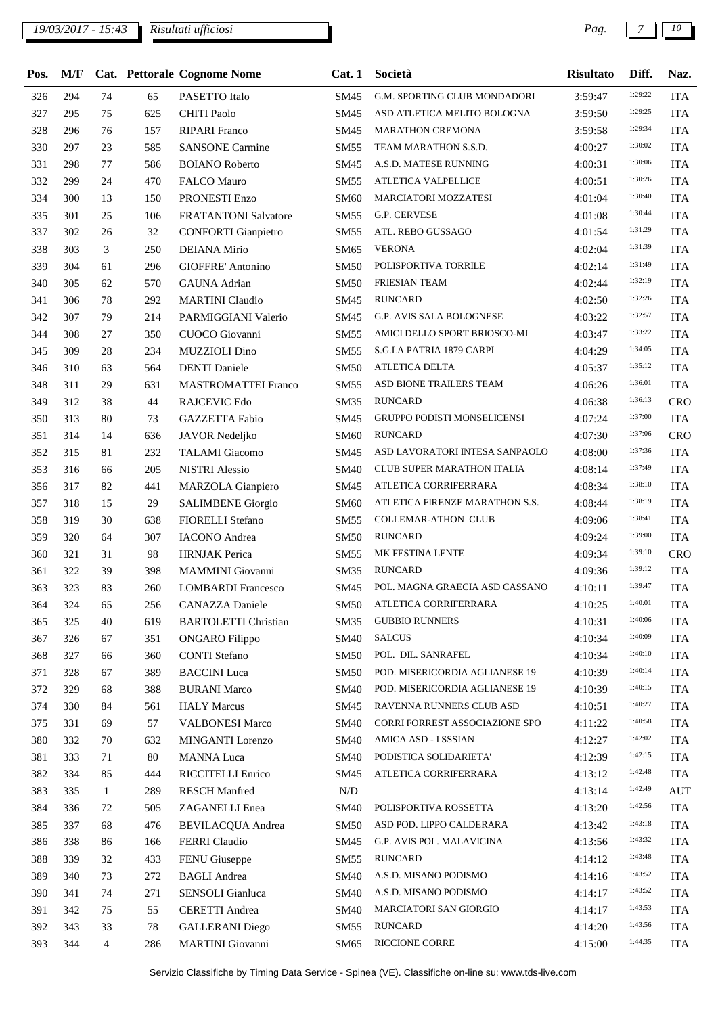| Pos. | M/F |                |     | Cat. Pettorale Cognome Nome | Cat.1       | Società                            | Risultato | Diff.   | Naz.       |
|------|-----|----------------|-----|-----------------------------|-------------|------------------------------------|-----------|---------|------------|
| 326  | 294 | 74             | 65  | PASETTO Italo               | SM45        | G.M. SPORTING CLUB MONDADORI       | 3:59:47   | 1:29:22 | <b>ITA</b> |
| 327  | 295 | 75             | 625 | <b>CHITI Paolo</b>          | SM45        | ASD ATLETICA MELITO BOLOGNA        | 3:59:50   | 1:29:25 | <b>ITA</b> |
| 328  | 296 | 76             | 157 | <b>RIPARI</b> Franco        | SM45        | <b>MARATHON CREMONA</b>            | 3:59:58   | 1:29:34 | <b>ITA</b> |
| 330  | 297 | 23             | 585 | <b>SANSONE Carmine</b>      | <b>SM55</b> | TEAM MARATHON S.S.D.               | 4:00:27   | 1:30:02 | <b>ITA</b> |
| 331  | 298 | 77             | 586 | <b>BOIANO</b> Roberto       | SM45        | A.S.D. MATESE RUNNING              | 4:00:31   | 1:30:06 | <b>ITA</b> |
| 332  | 299 | 24             | 470 | <b>FALCO Mauro</b>          | SM55        | ATLETICA VALPELLICE                | 4:00:51   | 1:30:26 | <b>ITA</b> |
| 334  | 300 | 13             | 150 | PRONESTI Enzo               | SM60        | MARCIATORI MOZZATESI               | 4:01:04   | 1:30:40 | <b>ITA</b> |
| 335  | 301 | 25             | 106 | <b>FRATANTONI Salvatore</b> | SM55        | G.P. CERVESE                       | 4:01:08   | 1:30:44 | <b>ITA</b> |
| 337  | 302 | 26             | 32  | <b>CONFORTI</b> Gianpietro  | SM55        | ATL. REBO GUSSAGO                  | 4:01:54   | 1:31:29 | <b>ITA</b> |
| 338  | 303 | 3              | 250 | <b>DEIANA</b> Mirio         | SM65        | <b>VERONA</b>                      | 4:02:04   | 1:31:39 | <b>ITA</b> |
| 339  | 304 | 61             | 296 | GIOFFRE' Antonino           | <b>SM50</b> | POLISPORTIVA TORRILE               | 4:02:14   | 1:31:49 | <b>ITA</b> |
| 340  | 305 | 62             | 570 | <b>GAUNA</b> Adrian         | <b>SM50</b> | FRIESIAN TEAM                      | 4:02:44   | 1:32:19 | <b>ITA</b> |
| 341  | 306 | 78             | 292 | <b>MARTINI</b> Claudio      | SM45        | <b>RUNCARD</b>                     | 4:02:50   | 1:32:26 | <b>ITA</b> |
| 342  | 307 | 79             | 214 | PARMIGGIANI Valerio         | SM45        | G.P. AVIS SALA BOLOGNESE           | 4:03:22   | 1:32:57 | <b>ITA</b> |
| 344  | 308 | 27             | 350 | CUOCO Giovanni              | SM55        | AMICI DELLO SPORT BRIOSCO-MI       | 4:03:47   | 1:33:22 | <b>ITA</b> |
| 345  | 309 | 28             | 234 | <b>MUZZIOLI</b> Dino        | SM55        | S.G.LA PATRIA 1879 CARPI           | 4:04:29   | 1:34:05 | <b>ITA</b> |
| 346  | 310 | 63             | 564 | <b>DENTI</b> Daniele        | <b>SM50</b> | ATLETICA DELTA                     | 4:05:37   | 1:35:12 | <b>ITA</b> |
| 348  | 311 | 29             | 631 | <b>MASTROMATTEI Franco</b>  | <b>SM55</b> | ASD BIONE TRAILERS TEAM            | 4:06:26   | 1:36:01 | <b>ITA</b> |
| 349  | 312 | 38             | 44  | RAJCEVIC Edo                | SM35        | <b>RUNCARD</b>                     | 4:06:38   | 1:36:13 | <b>CRO</b> |
| 350  | 313 | 80             | 73  | GAZZETTA Fabio              | SM45        | <b>GRUPPO PODISTI MONSELICENSI</b> | 4:07:24   | 1:37:00 | <b>ITA</b> |
| 351  | 314 | 14             | 636 | JAVOR Nedeljko              | SM60        | <b>RUNCARD</b>                     | 4:07:30   | 1:37:06 | CRO        |
| 352  | 315 | 81             | 232 | <b>TALAMI</b> Giacomo       | SM45        | ASD LAVORATORI INTESA SANPAOLO     | 4:08:00   | 1:37:36 | <b>ITA</b> |
| 353  | 316 | 66             | 205 | <b>NISTRI</b> Alessio       | <b>SM40</b> | <b>CLUB SUPER MARATHON ITALIA</b>  | 4:08:14   | 1:37:49 | <b>ITA</b> |
| 356  | 317 | 82             | 441 | MARZOLA Gianpiero           | SM45        | ATLETICA CORRIFERRARA              | 4:08:34   | 1:38:10 | <b>ITA</b> |
| 357  | 318 | 15             | 29  | <b>SALIMBENE</b> Giorgio    | <b>SM60</b> | ATLETICA FIRENZE MARATHON S.S.     | 4:08:44   | 1:38:19 | <b>ITA</b> |
| 358  | 319 | 30             | 638 | <b>FIORELLI Stefano</b>     | <b>SM55</b> | COLLEMAR-ATHON CLUB                | 4:09:06   | 1:38:41 | <b>ITA</b> |
| 359  | 320 | 64             | 307 | <b>IACONO</b> Andrea        | <b>SM50</b> | RUNCARD                            | 4:09:24   | 1:39:00 | <b>ITA</b> |
| 360  | 321 | 31             | 98  | <b>HRNJAK</b> Perica        | SM55        | MK FESTINA LENTE                   | 4:09:34   | 1:39:10 | <b>CRO</b> |
| 361  | 322 | 39             | 398 | MAMMINI Giovanni            | SM35        | <b>RUNCARD</b>                     | 4:09:36   | 1:39:12 | <b>ITA</b> |
| 363  | 323 | 83             | 260 | <b>LOMBARDI</b> Francesco   | SM45        | POL. MAGNA GRAECIA ASD CASSANO     | 4:10:11   | 1:39:47 | <b>ITA</b> |
| 364  | 324 | 65             | 256 | CANAZZA Daniele             |             | SM50 ATLETICA CORRIFERRARA         | 4:10:25   | 1:40:01 | $\rm ITA$  |
| 365  | 325 | 40             | 619 | <b>BARTOLETTI Christian</b> | <b>SM35</b> | <b>GUBBIO RUNNERS</b>              | 4:10:31   | 1:40:06 | <b>ITA</b> |
| 367  | 326 | 67             | 351 | <b>ONGARO</b> Filippo       | <b>SM40</b> | <b>SALCUS</b>                      | 4:10:34   | 1:40:09 | <b>ITA</b> |
| 368  | 327 | 66             | 360 | <b>CONTI Stefano</b>        | <b>SM50</b> | POL. DIL. SANRAFEL                 | 4:10:34   | 1:40:10 | <b>ITA</b> |
| 371  | 328 | 67             | 389 | <b>BACCINI</b> Luca         | <b>SM50</b> | POD. MISERICORDIA AGLIANESE 19     | 4:10:39   | 1:40:14 | <b>ITA</b> |
| 372  | 329 | 68             | 388 | <b>BURANI Marco</b>         | <b>SM40</b> | POD. MISERICORDIA AGLIANESE 19     | 4:10:39   | 1:40:15 | <b>ITA</b> |
| 374  | 330 | 84             | 561 | <b>HALY Marcus</b>          | SM45        | RAVENNA RUNNERS CLUB ASD           | 4:10:51   | 1:40:27 | <b>ITA</b> |
| 375  | 331 | 69             | 57  | <b>VALBONESI Marco</b>      | <b>SM40</b> | CORRI FORREST ASSOCIAZIONE SPO     | 4:11:22   | 1:40:58 | <b>ITA</b> |
| 380  | 332 | 70             | 632 | MINGANTI Lorenzo            | SM40        | AMICA ASD - I SSSIAN               | 4:12:27   | 1:42:02 | <b>ITA</b> |
| 381  | 333 | 71             | 80  | <b>MANNA</b> Luca           | <b>SM40</b> | PODISTICA SOLIDARIETA'             | 4:12:39   | 1:42:15 | <b>ITA</b> |
| 382  | 334 | 85             | 444 | RICCITELLI Enrico           | SM45        | ATLETICA CORRIFERRARA              | 4:13:12   | 1:42:48 | <b>ITA</b> |
| 383  | 335 | $\mathbf{1}$   | 289 | <b>RESCH Manfred</b>        | N/D         |                                    | 4:13:14   | 1:42:49 | <b>AUT</b> |
|      |     |                |     |                             |             | POLISPORTIVA ROSSETTA              |           | 1:42:56 |            |
| 384  | 336 | 72             | 505 | ZAGANELLI Enea              | <b>SM40</b> | ASD POD. LIPPO CALDERARA           | 4:13:20   | 1:43:18 | <b>ITA</b> |
| 385  | 337 | 68             | 476 | <b>BEVILACQUA Andrea</b>    | <b>SM50</b> |                                    | 4:13:42   | 1:43:32 | <b>ITA</b> |
| 386  | 338 | 86             | 166 | FERRI Claudio               | SM45        | G.P. AVIS POL. MALAVICINA          | 4:13:56   | 1:43:48 | <b>ITA</b> |
| 388  | 339 | 32             | 433 | FENU Giuseppe               | SM55        | <b>RUNCARD</b>                     | 4:14:12   | 1:43:52 | <b>ITA</b> |
| 389  | 340 | 73             | 272 | <b>BAGLI</b> Andrea         | <b>SM40</b> | A.S.D. MISANO PODISMO              | 4:14:16   | 1:43:52 | <b>ITA</b> |
| 390  | 341 | 74             | 271 | SENSOLI Gianluca            | <b>SM40</b> | A.S.D. MISANO PODISMO              | 4:14:17   |         | <b>ITA</b> |
| 391  | 342 | 75             | 55  | <b>CERETTI</b> Andrea       | <b>SM40</b> | MARCIATORI SAN GIORGIO             | 4:14:17   | 1:43:53 | <b>ITA</b> |
| 392  | 343 | 33             | 78  | <b>GALLERANI</b> Diego      | SM55        | <b>RUNCARD</b>                     | 4:14:20   | 1:43:56 | <b>ITA</b> |
| 393  | 344 | $\overline{4}$ | 286 | <b>MARTINI</b> Giovanni     | SM65        | RICCIONE CORRE                     | 4:15:00   | 1:44:35 | <b>ITA</b> |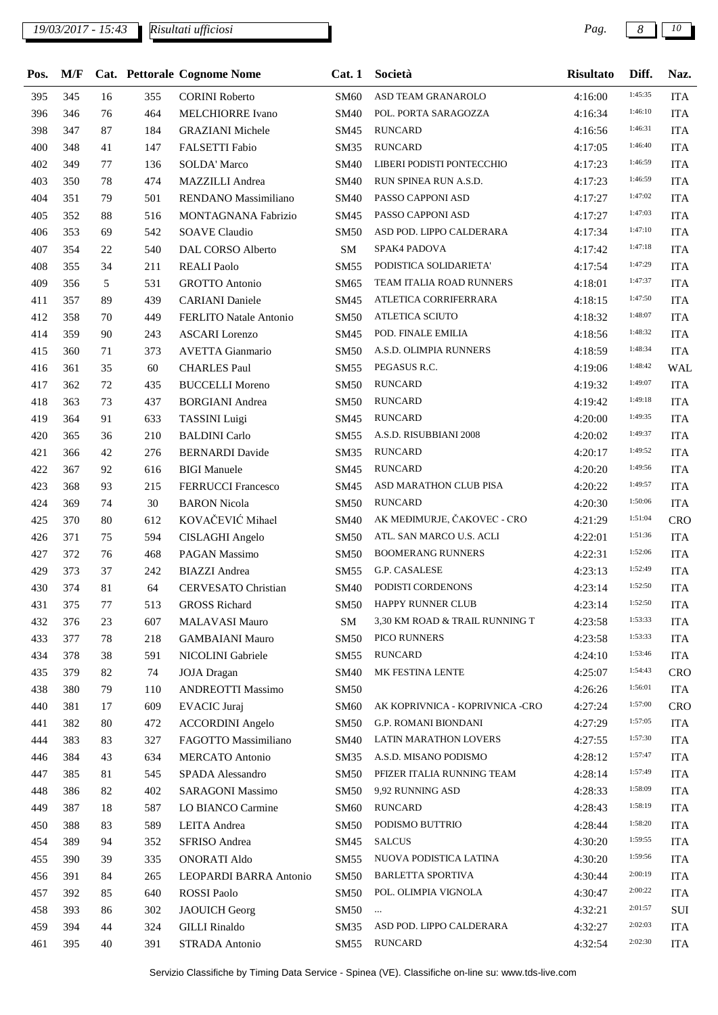## *19/03/2017 - 15:43 Pag. 8 10*

| Pos. | M/F |    |     | Cat. Pettorale Cognome Nome | Cat.1       | Società                         | <b>Risultato</b> | Diff.   | Naz.         |
|------|-----|----|-----|-----------------------------|-------------|---------------------------------|------------------|---------|--------------|
| 395  | 345 | 16 | 355 | <b>CORINI Roberto</b>       | SM60        | ASD TEAM GRANAROLO              | 4:16:00          | 1:45:35 | <b>ITA</b>   |
| 396  | 346 | 76 | 464 | <b>MELCHIORRE Ivano</b>     | <b>SM40</b> | POL. PORTA SARAGOZZA            | 4:16:34          | 1:46:10 | <b>ITA</b>   |
| 398  | 347 | 87 | 184 | <b>GRAZIANI</b> Michele     | SM45        | <b>RUNCARD</b>                  | 4:16:56          | 1:46:31 | <b>ITA</b>   |
| 400  | 348 | 41 | 147 | FALSETTI Fabio              | <b>SM35</b> | <b>RUNCARD</b>                  | 4:17:05          | 1:46:40 | <b>ITA</b>   |
| 402  | 349 | 77 | 136 | <b>SOLDA' Marco</b>         | <b>SM40</b> | LIBERI PODISTI PONTECCHIO       | 4:17:23          | 1:46:59 | <b>ITA</b>   |
| 403  | 350 | 78 | 474 | MAZZILLI Andrea             | <b>SM40</b> | RUN SPINEA RUN A.S.D.           | 4:17:23          | 1:46:59 | <b>ITA</b>   |
| 404  | 351 | 79 | 501 | RENDANO Massimiliano        | <b>SM40</b> | PASSO CAPPONI ASD               | 4:17:27          | 1:47:02 | <b>ITA</b>   |
| 405  | 352 | 88 | 516 | MONTAGNANA Fabrizio         | SM45        | PASSO CAPPONI ASD               | 4:17:27          | 1:47:03 | <b>ITA</b>   |
| 406  | 353 | 69 | 542 | <b>SOAVE Claudio</b>        | <b>SM50</b> | ASD POD. LIPPO CALDERARA        | 4:17:34          | 1:47:10 | <b>ITA</b>   |
| 407  | 354 | 22 | 540 | DAL CORSO Alberto           | ${\bf SM}$  | SPAK4 PADOVA                    | 4:17:42          | 1:47:18 | <b>ITA</b>   |
| 408  | 355 | 34 | 211 | <b>REALI Paolo</b>          | <b>SM55</b> | PODISTICA SOLIDARIETA'          | 4:17:54          | 1:47:29 | <b>ITA</b>   |
| 409  | 356 | 5  | 531 | <b>GROTTO Antonio</b>       | SM65        | TEAM ITALIA ROAD RUNNERS        | 4:18:01          | 1:47:37 | <b>ITA</b>   |
| 411  | 357 | 89 | 439 | <b>CARIANI</b> Daniele      | SM45        | ATLETICA CORRIFERRARA           | 4:18:15          | 1:47:50 | <b>ITA</b>   |
| 412  | 358 | 70 | 449 | FERLITO Natale Antonio      | <b>SM50</b> | ATLETICA SCIUTO                 | 4:18:32          | 1:48:07 | <b>ITA</b>   |
| 414  | 359 | 90 | 243 | <b>ASCARI</b> Lorenzo       | SM45        | POD. FINALE EMILIA              | 4:18:56          | 1:48:32 | <b>ITA</b>   |
| 415  | 360 | 71 | 373 | <b>AVETTA Gianmario</b>     | <b>SM50</b> | A.S.D. OLIMPIA RUNNERS          | 4:18:59          | 1:48:34 | <b>ITA</b>   |
| 416  | 361 | 35 | 60  | <b>CHARLES Paul</b>         | <b>SM55</b> | PEGASUS R.C.                    | 4:19:06          | 1:48:42 | <b>WAL</b>   |
| 417  | 362 | 72 | 435 | <b>BUCCELLI Moreno</b>      | <b>SM50</b> | <b>RUNCARD</b>                  | 4:19:32          | 1:49:07 | <b>ITA</b>   |
| 418  | 363 | 73 | 437 | <b>BORGIANI</b> Andrea      | <b>SM50</b> | <b>RUNCARD</b>                  | 4:19:42          | 1:49:18 | <b>ITA</b>   |
| 419  | 364 | 91 | 633 | <b>TASSINI</b> Luigi        | SM45        | <b>RUNCARD</b>                  | 4:20:00          | 1:49:35 | <b>ITA</b>   |
| 420  | 365 | 36 | 210 | <b>BALDINI</b> Carlo        | SM55        | A.S.D. RISUBBIANI 2008          | 4:20:02          | 1:49:37 | <b>ITA</b>   |
| 421  | 366 | 42 | 276 | <b>BERNARDI</b> Davide      | <b>SM35</b> | <b>RUNCARD</b>                  | 4:20:17          | 1:49:52 | <b>ITA</b>   |
| 422  | 367 | 92 | 616 | <b>BIGI</b> Manuele         | SM45        | <b>RUNCARD</b>                  | 4:20:20          | 1:49:56 | <b>ITA</b>   |
| 423  | 368 | 93 | 215 | <b>FERRUCCI Francesco</b>   | SM45        | ASD MARATHON CLUB PISA          | 4:20:22          | 1:49:57 | <b>ITA</b>   |
| 424  | 369 | 74 | 30  | <b>BARON</b> Nicola         | <b>SM50</b> | <b>RUNCARD</b>                  | 4:20:30          | 1:50:06 | <b>ITA</b>   |
| 425  | 370 | 80 | 612 | KOVAČEVIĆ Mihael            | <b>SM40</b> | AK MEĐIMURJE, ČAKOVEC - CRO     | 4:21:29          | 1:51:04 | CRO          |
| 426  | 371 | 75 | 594 | CISLAGHI Angelo             | <b>SM50</b> | ATL. SAN MARCO U.S. ACLI        | 4:22:01          | 1:51:36 | <b>ITA</b>   |
| 427  | 372 | 76 | 468 | PAGAN Massimo               | <b>SM50</b> | <b>BOOMERANG RUNNERS</b>        | 4:22:31          | 1:52:06 | <b>ITA</b>   |
| 429  | 373 | 37 | 242 | <b>BIAZZI</b> Andrea        | <b>SM55</b> | G.P. CASALESE                   | 4:23:13          | 1:52:49 | <b>ITA</b>   |
| 430  | 374 | 81 | 64  | <b>CERVESATO Christian</b>  | SM40        | PODISTI CORDENONS               | 4:23:14          | 1:52:50 | <b>ITA</b>   |
| 431  | 375 | 77 | 513 | <b>GROSS Richard</b>        |             | SM50 HAPPY RUNNER CLUB          | 4:23:14          | 1:52:50 | $_{\rm ITA}$ |
| 432  | 376 | 23 | 607 | MALAVASI Mauro              | SM          | 3,30 KM ROAD & TRAIL RUNNING T  | 4:23:58          | 1:53:33 | <b>ITA</b>   |
| 433  | 377 | 78 | 218 | <b>GAMBAIANI Mauro</b>      | <b>SM50</b> | PICO RUNNERS                    | 4:23:58          | 1:53:33 | <b>ITA</b>   |
| 434  | 378 | 38 | 591 | NICOLINI Gabriele           | SM55        | <b>RUNCARD</b>                  | 4:24:10          | 1:53:46 | <b>ITA</b>   |
| 435  | 379 | 82 | 74  | <b>JOJA</b> Dragan          | <b>SM40</b> | MK FESTINA LENTE                | 4:25:07          | 1:54:43 | <b>CRO</b>   |
| 438  | 380 | 79 | 110 | <b>ANDREOTTI Massimo</b>    | <b>SM50</b> |                                 | 4:26:26          | 1:56:01 | <b>ITA</b>   |
| 440  | 381 | 17 | 609 | <b>EVACIC</b> Juraj         | <b>SM60</b> | AK KOPRIVNICA - KOPRIVNICA -CRO | 4:27:24          | 1:57:00 | CRO          |
| 441  | 382 | 80 | 472 | <b>ACCORDINI</b> Angelo     | <b>SM50</b> | G.P. ROMANI BIONDANI            | 4:27:29          | 1:57:05 | <b>ITA</b>   |
| 444  | 383 | 83 | 327 | FAGOTTO Massimiliano        | <b>SM40</b> | LATIN MARATHON LOVERS           | 4:27:55          | 1:57:30 | <b>ITA</b>   |
| 446  | 384 | 43 | 634 | <b>MERCATO</b> Antonio      | SM35        | A.S.D. MISANO PODISMO           | 4:28:12          | 1:57:47 | <b>ITA</b>   |
| 447  | 385 | 81 | 545 | SPADA Alessandro            | <b>SM50</b> | PFIZER ITALIA RUNNING TEAM      | 4:28:14          | 1:57:49 | <b>ITA</b>   |
| 448  | 386 | 82 | 402 | SARAGONI Massimo            | <b>SM50</b> | 9,92 RUNNING ASD                | 4:28:33          | 1:58:09 | <b>ITA</b>   |
| 449  | 387 | 18 | 587 | LO BIANCO Carmine           | <b>SM60</b> | <b>RUNCARD</b>                  | 4:28:43          | 1:58:19 | <b>ITA</b>   |
| 450  | 388 | 83 | 589 | LEITA Andrea                | <b>SM50</b> | PODISMO BUTTRIO                 | 4:28:44          | 1:58:20 | <b>ITA</b>   |
| 454  | 389 | 94 | 352 | SFRISO Andrea               | SM45        | <b>SALCUS</b>                   | 4:30:20          | 1:59:55 | <b>ITA</b>   |
| 455  | 390 | 39 | 335 | <b>ONORATI Aldo</b>         | SM55        | NUOVA PODISTICA LATINA          | 4:30:20          | 1:59:56 | <b>ITA</b>   |
| 456  | 391 | 84 | 265 | LEOPARDI BARRA Antonio      | <b>SM50</b> | <b>BARLETTA SPORTIVA</b>        | 4:30:44          | 2:00:19 | <b>ITA</b>   |
| 457  | 392 | 85 | 640 | ROSSI Paolo                 | <b>SM50</b> | POL. OLIMPIA VIGNOLA            | 4:30:47          | 2:00:22 | <b>ITA</b>   |
| 458  | 393 | 86 | 302 | <b>JAOUICH Georg</b>        | SM50        | $\ldots$                        | 4:32:21          | 2:01:57 | SUI          |
| 459  | 394 | 44 | 324 | <b>GILLI</b> Rinaldo        | <b>SM35</b> | ASD POD. LIPPO CALDERARA        | 4:32:27          | 2:02:03 | <b>ITA</b>   |
| 461  | 395 | 40 | 391 | STRADA Antonio              | SM55        | <b>RUNCARD</b>                  | 4:32:54          | 2:02:30 | <b>ITA</b>   |
|      |     |    |     |                             |             |                                 |                  |         |              |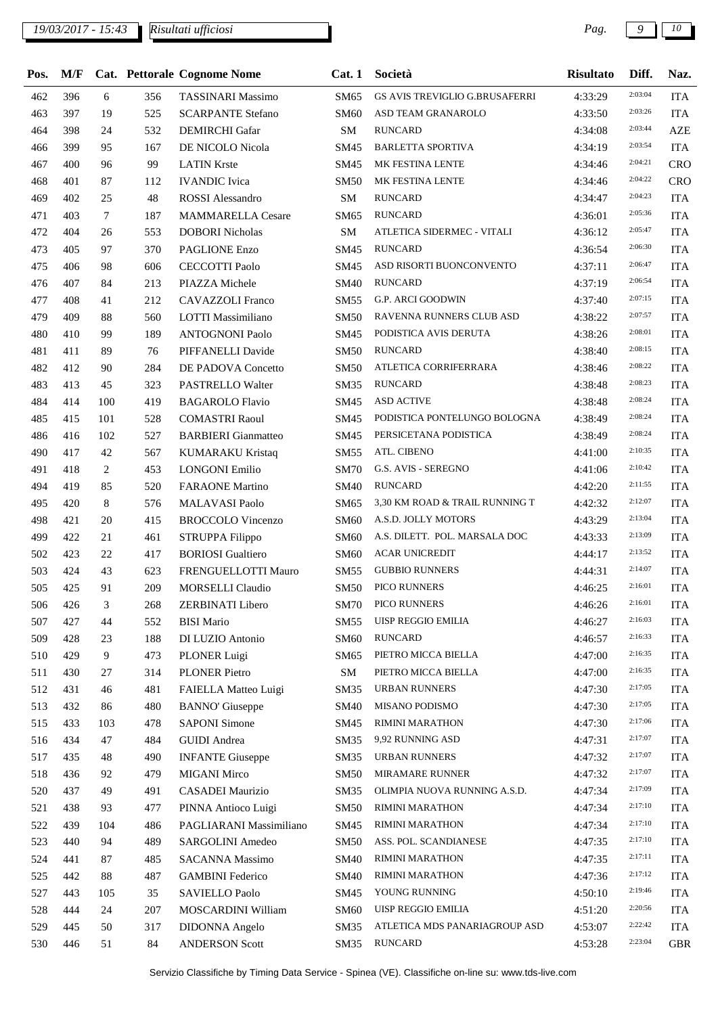| Pos. | M/F |                |     | Cat. Pettorale Cognome Nome | Cat. 1      | Società                        | <b>Risultato</b> | Diff.   | Naz.       |
|------|-----|----------------|-----|-----------------------------|-------------|--------------------------------|------------------|---------|------------|
| 462  | 396 | 6              | 356 | <b>TASSINARI Massimo</b>    | SM65        | GS AVIS TREVIGLIO G.BRUSAFERRI | 4:33:29          | 2:03:04 | <b>ITA</b> |
| 463  | 397 | 19             | 525 | <b>SCARPANTE Stefano</b>    | SM60        | ASD TEAM GRANAROLO             | 4:33:50          | 2:03:26 | <b>ITA</b> |
| 464  | 398 | 24             | 532 | <b>DEMIRCHI</b> Gafar       | ${\bf SM}$  | <b>RUNCARD</b>                 | 4:34:08          | 2:03:44 | <b>AZE</b> |
| 466  | 399 | 95             | 167 | DE NICOLO Nicola            | SM45        | <b>BARLETTA SPORTIVA</b>       | 4:34:19          | 2:03:54 | <b>ITA</b> |
| 467  | 400 | 96             | 99  | <b>LATIN Krste</b>          | SM45        | MK FESTINA LENTE               | 4:34:46          | 2:04:21 | <b>CRO</b> |
| 468  | 401 | 87             | 112 | <b>IVANDIC</b> Ivica        | <b>SM50</b> | MK FESTINA LENTE               | 4:34:46          | 2:04:22 | <b>CRO</b> |
| 469  | 402 | 25             | 48  | <b>ROSSI</b> Alessandro     | ${\bf SM}$  | <b>RUNCARD</b>                 | 4:34:47          | 2:04:23 | <b>ITA</b> |
| 471  | 403 | 7              | 187 | <b>MAMMARELLA Cesare</b>    | SM65        | <b>RUNCARD</b>                 | 4:36:01          | 2:05:36 | <b>ITA</b> |
| 472  | 404 | 26             | 553 | <b>DOBORI</b> Nicholas      | ${\bf SM}$  | ATLETICA SIDERMEC - VITALI     | 4:36:12          | 2:05:47 | <b>ITA</b> |
| 473  | 405 | 97             | 370 | PAGLIONE Enzo               | SM45        | <b>RUNCARD</b>                 | 4:36:54          | 2:06:30 | <b>ITA</b> |
| 475  | 406 | 98             | 606 | <b>CECCOTTI Paolo</b>       | SM45        | ASD RISORTI BUONCONVENTO       | 4:37:11          | 2:06:47 | <b>ITA</b> |
| 476  | 407 | 84             | 213 | PIAZZA Michele              | <b>SM40</b> | <b>RUNCARD</b>                 | 4:37:19          | 2:06:54 | <b>ITA</b> |
| 477  | 408 | 41             | 212 | <b>CAVAZZOLI Franco</b>     | SM55        | <b>G.P. ARCI GOODWIN</b>       | 4:37:40          | 2:07:15 | <b>ITA</b> |
| 479  | 409 | 88             | 560 | LOTTI Massimiliano          | <b>SM50</b> | RAVENNA RUNNERS CLUB ASD       | 4:38:22          | 2:07:57 | <b>ITA</b> |
| 480  | 410 | 99             | 189 | <b>ANTOGNONI Paolo</b>      | SM45        | PODISTICA AVIS DERUTA          | 4:38:26          | 2:08:01 | <b>ITA</b> |
| 481  | 411 | 89             | 76  | PIFFANELLI Davide           | <b>SM50</b> | <b>RUNCARD</b>                 | 4:38:40          | 2:08:15 | <b>ITA</b> |
| 482  | 412 | 90             | 284 | DE PADOVA Concetto          | <b>SM50</b> | ATLETICA CORRIFERRARA          | 4:38:46          | 2:08:22 | <b>ITA</b> |
| 483  | 413 | 45             | 323 | PASTRELLO Walter            | <b>SM35</b> | <b>RUNCARD</b>                 | 4:38:48          | 2:08:23 | <b>ITA</b> |
| 484  | 414 | 100            | 419 | <b>BAGAROLO Flavio</b>      | SM45        | <b>ASD ACTIVE</b>              | 4:38:48          | 2:08:24 | <b>ITA</b> |
| 485  | 415 | 101            | 528 | <b>COMASTRI Raoul</b>       | SM45        | PODISTICA PONTELUNGO BOLOGNA   | 4:38:49          | 2:08:24 | <b>ITA</b> |
| 486  | 416 | 102            | 527 | <b>BARBIERI</b> Gianmatteo  | SM45        | PERSICETANA PODISTICA          | 4:38:49          | 2:08:24 | <b>ITA</b> |
| 490  | 417 | 42             | 567 | <b>KUMARAKU Kristaq</b>     | <b>SM55</b> | ATL. CIBENO                    | 4:41:00          | 2:10:35 | <b>ITA</b> |
| 491  | 418 | $\overline{c}$ | 453 | <b>LONGONI Emilio</b>       | <b>SM70</b> | G.S. AVIS - SEREGNO            | 4:41:06          | 2:10:42 | <b>ITA</b> |
| 494  | 419 | 85             | 520 | <b>FARAONE</b> Martino      | SM40        | <b>RUNCARD</b>                 | 4:42:20          | 2:11:55 | <b>ITA</b> |
| 495  | 420 | 8              | 576 | <b>MALAVASI Paolo</b>       | SM65        | 3,30 KM ROAD & TRAIL RUNNING T | 4:42:32          | 2:12:07 | <b>ITA</b> |
| 498  | 421 | 20             | 415 | <b>BROCCOLO Vincenzo</b>    | <b>SM60</b> | A.S.D. JOLLY MOTORS            | 4:43:29          | 2:13:04 | <b>ITA</b> |
| 499  | 422 | 21             | 461 | STRUPPA Filippo             | <b>SM60</b> | A.S. DILETT. POL. MARSALA DOC  | 4:43:33          | 2:13:09 | <b>ITA</b> |
| 502  | 423 | 22             | 417 | <b>BORIOSI</b> Gualtiero    | SM60        | <b>ACAR UNICREDIT</b>          | 4:44:17          | 2:13:52 | <b>ITA</b> |
| 503  | 424 | 43             | 623 | FRENGUELLOTTI Mauro         | SM55        | <b>GUBBIO RUNNERS</b>          | 4:44:31          | 2:14:07 | <b>ITA</b> |
| 505  | 425 | 91             | 209 | <b>MORSELLI Claudio</b>     | <b>SM50</b> | PICO RUNNERS                   | 4:46:25          | 2:16:01 | <b>ITA</b> |
| 506  | 426 | 3              | 268 | ZERBINATI Libero            | SM70        | PICO RUNNERS                   | 4:46:26          | 2:16:01 | <b>ITA</b> |
| 507  | 427 | 44             | 552 | <b>BISI</b> Mario           | SM55        | <b>UISP REGGIO EMILIA</b>      | 4:46:27          | 2:16:03 | <b>ITA</b> |
| 509  | 428 | 23             | 188 | DI LUZIO Antonio            | <b>SM60</b> | <b>RUNCARD</b>                 | 4:46:57          | 2:16:33 | <b>ITA</b> |
| 510  | 429 | 9              | 473 | PLONER Luigi                | SM65        | PIETRO MICCA BIELLA            | 4:47:00          | 2:16:35 | <b>ITA</b> |
| 511  | 430 | 27             | 314 | <b>PLONER Pietro</b>        | ${\bf SM}$  | PIETRO MICCA BIELLA            | 4:47:00          | 2:16:35 | <b>ITA</b> |
| 512  | 431 | 46             | 481 | FAIELLA Matteo Luigi        | SM35        | URBAN RUNNERS                  | 4:47:30          | 2:17:05 | <b>ITA</b> |
| 513  | 432 | 86             | 480 | <b>BANNO'</b> Giuseppe      | <b>SM40</b> | MISANO PODISMO                 | 4:47:30          | 2:17:05 | <b>ITA</b> |
| 515  | 433 | 103            | 478 | <b>SAPONI Simone</b>        | SM45        | RIMINI MARATHON                | 4:47:30          | 2:17:06 | <b>ITA</b> |
| 516  | 434 | 47             | 484 | <b>GUIDI</b> Andrea         | SM35        | 9,92 RUNNING ASD               | 4:47:31          | 2:17:07 | <b>ITA</b> |
| 517  | 435 | 48             | 490 | <b>INFANTE Giuseppe</b>     | SM35        | URBAN RUNNERS                  | 4:47:32          | 2:17:07 | <b>ITA</b> |
| 518  | 436 | 92             | 479 | <b>MIGANI Mirco</b>         | <b>SM50</b> | MIRAMARE RUNNER                | 4:47:32          | 2:17:07 | <b>ITA</b> |
| 520  | 437 | 49             | 491 | <b>CASADEI</b> Maurizio     | SM35        | OLIMPIA NUOVA RUNNING A.S.D.   | 4:47:34          | 2:17:09 | <b>ITA</b> |
| 521  | 438 | 93             | 477 | PINNA Antioco Luigi         | <b>SM50</b> | RIMINI MARATHON                | 4:47:34          | 2:17:10 | <b>ITA</b> |
| 522  | 439 | 104            | 486 | PAGLIARANI Massimiliano     | SM45        | RIMINI MARATHON                | 4:47:34          | 2:17:10 | <b>ITA</b> |
| 523  | 440 | 94             | 489 | SARGOLINI Amedeo            | <b>SM50</b> | ASS. POL. SCANDIANESE          | 4:47:35          | 2:17:10 | <b>ITA</b> |
| 524  | 441 | 87             | 485 | SACANNA Massimo             | SM40        | <b>RIMINI MARATHON</b>         | 4:47:35          | 2:17:11 | <b>ITA</b> |
| 525  | 442 | 88             | 487 | <b>GAMBINI</b> Federico     | <b>SM40</b> | RIMINI MARATHON                | 4:47:36          | 2:17:12 | <b>ITA</b> |
| 527  | 443 | 105            | 35  | SAVIELLO Paolo              | SM45        | YOUNG RUNNING                  | 4:50:10          | 2:19:46 | <b>ITA</b> |
| 528  | 444 | 24             | 207 | MOSCARDINI William          | <b>SM60</b> | UISP REGGIO EMILIA             | 4:51:20          | 2:20:56 | <b>ITA</b> |
| 529  | 445 | 50             | 317 | DIDONNA Angelo              | SM35        | ATLETICA MDS PANARIAGROUP ASD  | 4:53:07          | 2:22:42 | <b>ITA</b> |
| 530  | 446 | 51             | 84  | <b>ANDERSON Scott</b>       | SM35        | <b>RUNCARD</b>                 | 4:53:28          | 2:23:04 | <b>GBR</b> |
|      |     |                |     |                             |             |                                |                  |         |            |